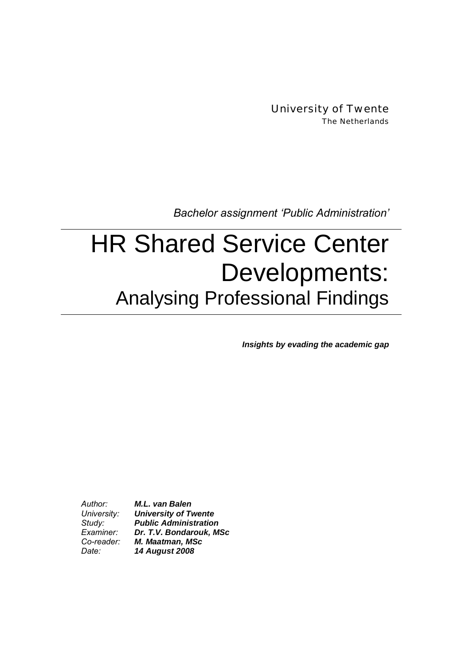University of Twente The Netherlands

*Bachelor assignment Public Administration*

# HR Shared Service Center Developments: Analysing Professional Findings

*Insights by evading the academic gap* 

*Author: M.L. van Balen University: University of Twente Study: Public Administration Examiner: Dr. T.V. Bondarouk, MSc Co-reader: M. Maatman, MSc Date: 14 August 2008*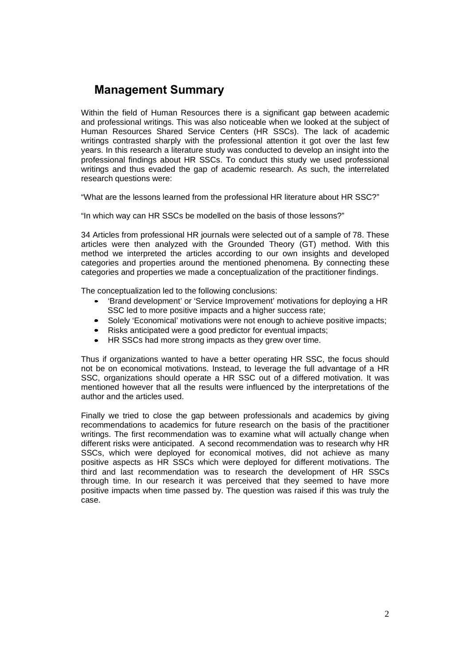# **Management Summary**

Within the field of Human Resources there is a significant gap between academic and professional writings. This was also noticeable when we looked at the subject of Human Resources Shared Service Centers (HR SSCs). The lack of academic writings contrasted sharply with the professional attention it got over the last few years. In this research a literature study was conducted to develop an insight into the professional findings about HR SSCs. To conduct this study we used professional writings and thus evaded the gap of academic research. As such, the interrelated research questions were:

"What are the lessons learned from the professional HR literature about HR SSC?"

"In which way can HR SSCs be modelled on the basis of those lessons?"

34 Articles from professional HR journals were selected out of a sample of 78. These articles were then analyzed with the Grounded Theory (GT) method. With this method we interpreted the articles according to our own insights and developed categories and properties around the mentioned phenomena. By connecting these categories and properties we made a conceptualization of the practitioner findings.

The conceptualization led to the following conclusions:

- 'Brand development' or 'Service Improvement' motivations for deploying a HR SSC led to more positive impacts and a higher success rate:
- Solely 'Economical' motivations were not enough to achieve positive impacts;
- Risks anticipated were a good predictor for eventual impacts;
- HR SSCs had more strong impacts as they grew over time.

Thus if organizations wanted to have a better operating HR SSC, the focus should not be on economical motivations. Instead, to leverage the full advantage of a HR SSC, organizations should operate a HR SSC out of a differed motivation. It was mentioned however that all the results were influenced by the interpretations of the author and the articles used.

Finally we tried to close the gap between professionals and academics by giving recommendations to academics for future research on the basis of the practitioner writings. The first recommendation was to examine what will actually change when different risks were anticipated. A second recommendation was to research why HR SSCs, which were deployed for economical motives, did not achieve as many positive aspects as HR SSCs which were deployed for different motivations. The third and last recommendation was to research the development of HR SSCs through time. In our research it was perceived that they seemed to have more positive impacts when time passed by. The question was raised if this was truly the case.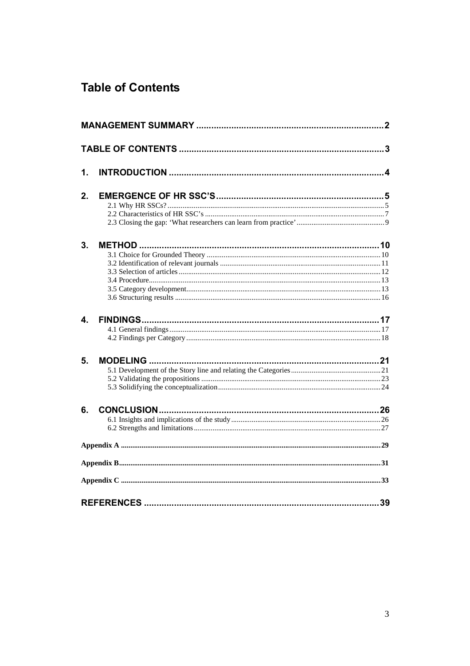# **Table of Contents**

| 1. |  |
|----|--|
| 2. |  |
| 3. |  |
| 4. |  |
| 5. |  |
| 6. |  |
|    |  |
|    |  |
|    |  |
|    |  |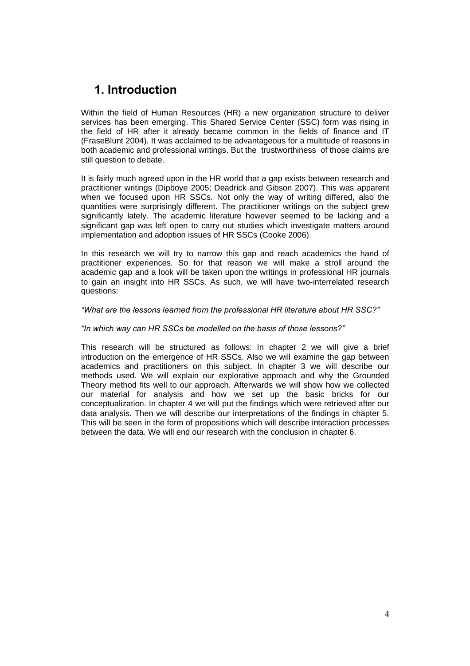# **1. Introduction**

Within the field of Human Resources (HR) a new organization structure to deliver services has been emerging. This Shared Service Center (SSC) form was rising in the field of HR after it already became common in the fields of finance and IT (FraseBlunt 2004). It was acclaimed to be advantageous for a multitude of reasons in both academic and professional writings. But the trustworthiness of those claims are still question to debate.

It is fairly much agreed upon in the HR world that a gap exists between research and practitioner writings (Dipboye 2005; Deadrick and Gibson 2007). This was apparent when we focused upon HR SSCs. Not only the way of writing differed, also the quantities were surprisingly different. The practitioner writings on the subject grew significantly lately. The academic literature however seemed to be lacking and a significant gap was left open to carry out studies which investigate matters around implementation and adoption issues of HR SSCs (Cooke 2006).

In this research we will try to narrow this gap and reach academics the hand of practitioner experiences. So for that reason we will make a stroll around the academic gap and a look will be taken upon the writings in professional HR journals to gain an insight into HR SSCs. As such, we will have two-interrelated research questions:

### *What are the lessons learned from the professional HR literature about HR SSC?*

### *In which way can HR SSCs be modelled on the basis of those lessons?*

This research will be structured as follows: In chapter 2 we will give a brief introduction on the emergence of HR SSCs. Also we will examine the gap between academics and practitioners on this subject. In chapter 3 we will describe our methods used. We will explain our explorative approach and why the Grounded Theory method fits well to our approach. Afterwards we will show how we collected our material for analysis and how we set up the basic bricks for our conceptualization. In chapter 4 we will put the findings which were retrieved after our data analysis. Then we will describe our interpretations of the findings in chapter 5. This will be seen in the form of propositions which will describe interaction processes between the data. We will end our research with the conclusion in chapter 6.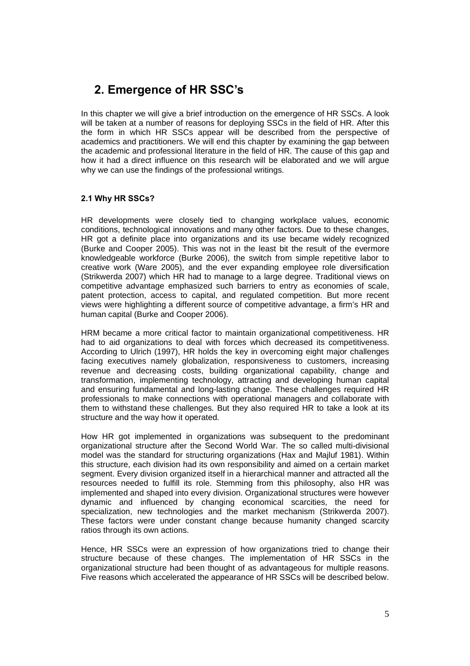# **2. Emergence of HR SSCs**

In this chapter we will give a brief introduction on the emergence of HR SSCs. A look will be taken at a number of reasons for deploying SSCs in the field of HR. After this the form in which HR SSCs appear will be described from the perspective of academics and practitioners. We will end this chapter by examining the gap between the academic and professional literature in the field of HR. The cause of this gap and how it had a direct influence on this research will be elaborated and we will argue why we can use the findings of the professional writings.

### **2.1 Why HR SSCs?**

HR developments were closely tied to changing workplace values, economic conditions, technological innovations and many other factors. Due to these changes, HR got a definite place into organizations and its use became widely recognized (Burke and Cooper 2005). This was not in the least bit the result of the evermore knowledgeable workforce (Burke 2006), the switch from simple repetitive labor to creative work (Ware 2005), and the ever expanding employee role diversification (Strikwerda 2007) which HR had to manage to a large degree. Traditional views on competitive advantage emphasized such barriers to entry as economies of scale, patent protection, access to capital, and regulated competition. But more recent views were highlighting a different source of competitive advantage, a firm's HR and human capital (Burke and Cooper 2006).

HRM became a more critical factor to maintain organizational competitiveness. HR had to aid organizations to deal with forces which decreased its competitiveness. According to Ulrich (1997), HR holds the key in overcoming eight major challenges facing executives namely globalization, responsiveness to customers, increasing revenue and decreasing costs, building organizational capability, change and transformation, implementing technology, attracting and developing human capital and ensuring fundamental and long-lasting change. These challenges required HR professionals to make connections with operational managers and collaborate with them to withstand these challenges. But they also required HR to take a look at its structure and the way how it operated.

How HR got implemented in organizations was subsequent to the predominant organizational structure after the Second World War. The so called multi-divisional model was the standard for structuring organizations (Hax and Majluf 1981). Within this structure, each division had its own responsibility and aimed on a certain market segment. Every division organized itself in a hierarchical manner and attracted all the resources needed to fulfill its role. Stemming from this philosophy, also HR was implemented and shaped into every division. Organizational structures were however dynamic and influenced by changing economical scarcities, the need for specialization, new technologies and the market mechanism (Strikwerda 2007). These factors were under constant change because humanity changed scarcity ratios through its own actions.

Hence, HR SSCs were an expression of how organizations tried to change their structure because of these changes. The implementation of HR SSCs in the organizational structure had been thought of as advantageous for multiple reasons. Five reasons which accelerated the appearance of HR SSCs will be described below.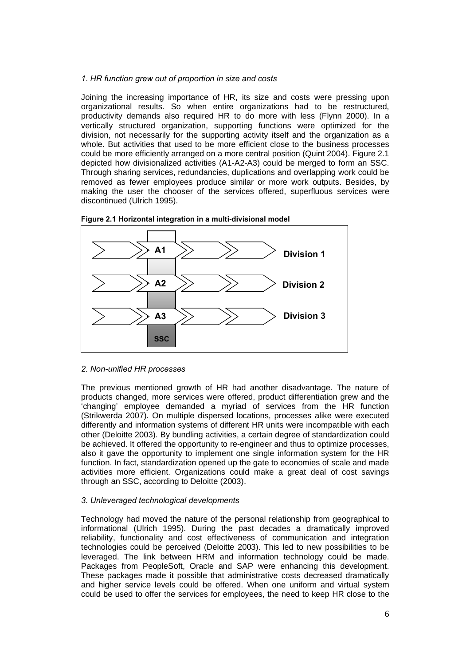### *1. HR function grew out of proportion in size and costs*

Joining the increasing importance of HR, its size and costs were pressing upon organizational results. So when entire organizations had to be restructured, productivity demands also required HR to do more with less (Flynn 2000). In a vertically structured organization, supporting functions were optimized for the division, not necessarily for the supporting activity itself and the organization as a whole. But activities that used to be more efficient close to the business processes could be more efficiently arranged on a more central position (Quint 2004). Figure 2.1 depicted how divisionalized activities (A1-A2-A3) could be merged to form an SSC. Through sharing services, redundancies, duplications and overlapping work could be removed as fewer employees produce similar or more work outputs. Besides, by making the user the chooser of the services offered, superfluous services were discontinued (Ulrich 1995).





### *2. Non-unified HR processes*

The previous mentioned growth of HR had another disadvantage. The nature of products changed, more services were offered, product differentiation grew and the 'changing' employee demanded a myriad of services from the HR function (Strikwerda 2007). On multiple dispersed locations, processes alike were executed differently and information systems of different HR units were incompatible with each other (Deloitte 2003). By bundling activities, a certain degree of standardization could be achieved. It offered the opportunity to re-engineer and thus to optimize processes, also it gave the opportunity to implement one single information system for the HR function. In fact, standardization opened up the gate to economies of scale and made activities more efficient. Organizations could make a great deal of cost savings through an SSC, according to Deloitte (2003).

### *3. Unleveraged technological developments*

Technology had moved the nature of the personal relationship from geographical to informational (Ulrich 1995). During the past decades a dramatically improved reliability, functionality and cost effectiveness of communication and integration technologies could be perceived (Deloitte 2003). This led to new possibilities to be leveraged. The link between HRM and information technology could be made. Packages from PeopleSoft, Oracle and SAP were enhancing this development. These packages made it possible that administrative costs decreased dramatically and higher service levels could be offered. When one uniform and virtual system could be used to offer the services for employees, the need to keep HR close to the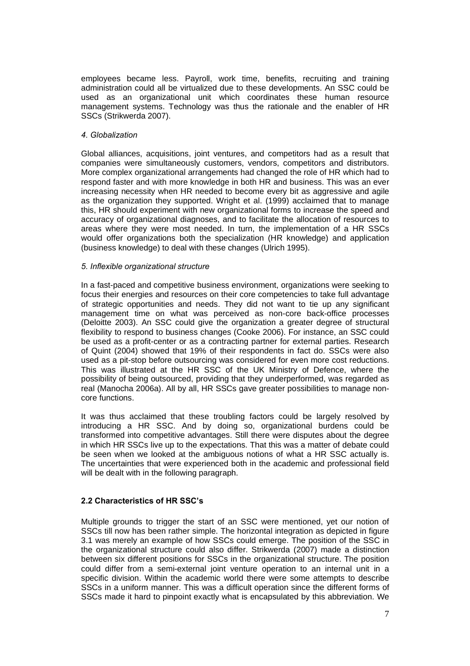employees became less. Payroll, work time, benefits, recruiting and training administration could all be virtualized due to these developments. An SSC could be used as an organizational unit which coordinates these human resource management systems. Technology was thus the rationale and the enabler of HR SSCs (Strikwerda 2007).

### *4. Globalization*

Global alliances, acquisitions, joint ventures, and competitors had as a result that companies were simultaneously customers, vendors, competitors and distributors. More complex organizational arrangements had changed the role of HR which had to respond faster and with more knowledge in both HR and business. This was an ever increasing necessity when HR needed to become every bit as aggressive and agile as the organization they supported. Wright et al. (1999) acclaimed that to manage this, HR should experiment with new organizational forms to increase the speed and accuracy of organizational diagnoses, and to facilitate the allocation of resources to areas where they were most needed. In turn, the implementation of a HR SSCs would offer organizations both the specialization (HR knowledge) and application (business knowledge) to deal with these changes (Ulrich 1995).

### *5. Inflexible organizational structure*

In a fast-paced and competitive business environment, organizations were seeking to focus their energies and resources on their core competencies to take full advantage of strategic opportunities and needs. They did not want to tie up any significant management time on what was perceived as non-core back-office processes (Deloitte 2003). An SSC could give the organization a greater degree of structural flexibility to respond to business changes (Cooke 2006). For instance, an SSC could be used as a profit-center or as a contracting partner for external parties. Research of Quint (2004) showed that 19% of their respondents in fact do. SSCs were also used as a pit-stop before outsourcing was considered for even more cost reductions. This was illustrated at the HR SSC of the UK Ministry of Defence, where the possibility of being outsourced, providing that they underperformed, was regarded as real (Manocha 2006a). All by all, HR SSCs gave greater possibilities to manage noncore functions.

It was thus acclaimed that these troubling factors could be largely resolved by introducing a HR SSC. And by doing so, organizational burdens could be transformed into competitive advantages. Still there were disputes about the degree in which HR SSCs live up to the expectations. That this was a matter of debate could be seen when we looked at the ambiguous notions of what a HR SSC actually is. The uncertainties that were experienced both in the academic and professional field will be dealt with in the following paragraph.

### **2.2 Characteristics of HR SSCs**

Multiple grounds to trigger the start of an SSC were mentioned, yet our notion of SSCs till now has been rather simple. The horizontal integration as depicted in figure 3.1 was merely an example of how SSCs could emerge. The position of the SSC in the organizational structure could also differ. Strikwerda (2007) made a distinction between six different positions for SSCs in the organizational structure. The position could differ from a semi-external joint venture operation to an internal unit in a specific division. Within the academic world there were some attempts to describe SSCs in a uniform manner. This was a difficult operation since the different forms of SSCs made it hard to pinpoint exactly what is encapsulated by this abbreviation. We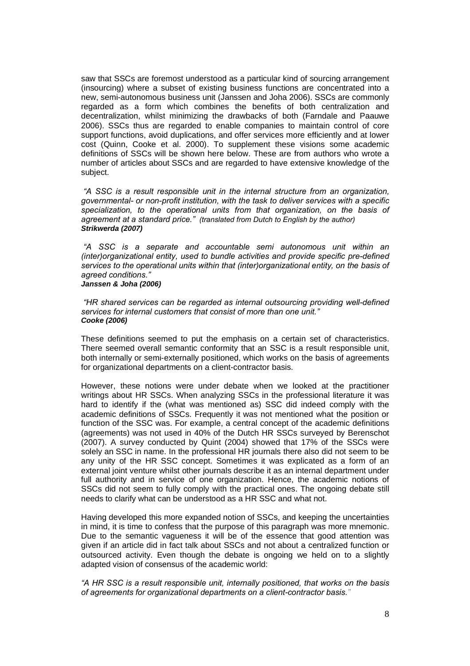saw that SSCs are foremost understood as a particular kind of sourcing arrangement (insourcing) where a subset of existing business functions are concentrated into a new, semi-autonomous business unit (Janssen and Joha 2006). SSCs are commonly regarded as a form which combines the benefits of both centralization and decentralization, whilst minimizing the drawbacks of both (Farndale and Paauwe 2006). SSCs thus are regarded to enable companies to maintain control of core support functions, avoid duplications, and offer services more efficiently and at lower cost (Quinn, Cooke et al. 2000). To supplement these visions some academic definitions of SSCs will be shown here below. These are from authors who wrote a number of articles about SSCs and are regarded to have extensive knowledge of the subject.

*A SSC is a result responsible unit in the internal structure from an organization, governmental- or non-profit institution, with the task to deliver services with a specific specialization, to the operational units from that organization, on the basis of agreement at a standard price. (translated from Dutch to English by the author) Strikwerda (2007)* 

*A SSC is a separate and accountable semi autonomous unit within an (inter)organizational entity, used to bundle activities and provide specific pre-defined services to the operational units within that (inter)organizational entity, on the basis of agreed conditions.*

*Janssen & Joha (2006)* 

*HR shared services can be regarded as internal outsourcing providing well-defined services for internal customers that consist of more than one unit. Cooke (2006)* 

These definitions seemed to put the emphasis on a certain set of characteristics. There seemed overall semantic conformity that an SSC is a result responsible unit, both internally or semi-externally positioned, which works on the basis of agreements for organizational departments on a client-contractor basis.

However, these notions were under debate when we looked at the practitioner writings about HR SSCs. When analyzing SSCs in the professional literature it was hard to identify if the (what was mentioned as) SSC did indeed comply with the academic definitions of SSCs. Frequently it was not mentioned what the position or function of the SSC was. For example, a central concept of the academic definitions (agreements) was not used in 40% of the Dutch HR SSCs surveyed by Berenschot (2007). A survey conducted by Quint (2004) showed that 17% of the SSCs were solely an SSC in name. In the professional HR journals there also did not seem to be any unity of the HR SSC concept. Sometimes it was explicated as a form of an external joint venture whilst other journals describe it as an internal department under full authority and in service of one organization. Hence, the academic notions of SSCs did not seem to fully comply with the practical ones. The ongoing debate still needs to clarify what can be understood as a HR SSC and what not.

Having developed this more expanded notion of SSCs, and keeping the uncertainties in mind, it is time to confess that the purpose of this paragraph was more mnemonic. Due to the semantic vagueness it will be of the essence that good attention was given if an article did in fact talk about SSCs and not about a centralized function or outsourced activity. Even though the debate is ongoing we held on to a slightly adapted vision of consensus of the academic world:

*A HR SSC is a result responsible unit, internally positioned, that works on the basis of agreements for organizational departments on a client-contractor basis.*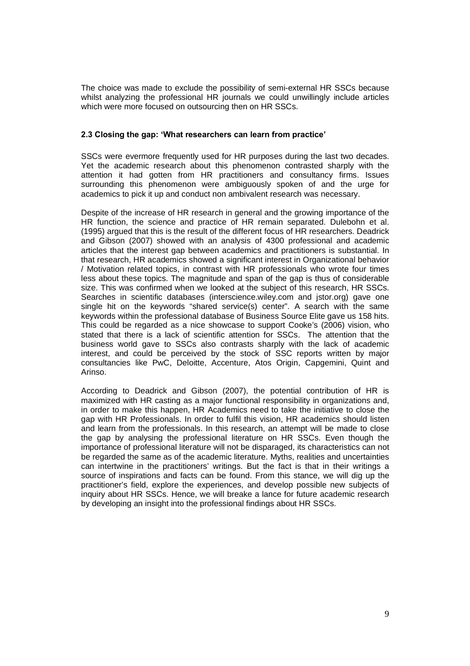The choice was made to exclude the possibility of semi-external HR SSCs because whilst analyzing the professional HR journals we could unwillingly include articles which were more focused on outsourcing then on HR SSCs.

### **2.3 Closing the gap: What researchers can learn from practice**

SSCs were evermore frequently used for HR purposes during the last two decades. Yet the academic research about this phenomenon contrasted sharply with the attention it had gotten from HR practitioners and consultancy firms. Issues surrounding this phenomenon were ambiguously spoken of and the urge for academics to pick it up and conduct non ambivalent research was necessary.

Despite of the increase of HR research in general and the growing importance of the HR function, the science and practice of HR remain separated. Dulebohn et al. (1995) argued that this is the result of the different focus of HR researchers. Deadrick and Gibson (2007) showed with an analysis of 4300 professional and academic articles that the interest gap between academics and practitioners is substantial. In that research, HR academics showed a significant interest in Organizational behavior / Motivation related topics, in contrast with HR professionals who wrote four times less about these topics. The magnitude and span of the gap is thus of considerable size. This was confirmed when we looked at the subject of this research, HR SSCs. Searches in scientific databases (interscience.wiley.com and jstor.org) gave one single hit on the keywords "shared service(s) center". A search with the same keywords within the professional database of Business Source Elite gave us 158 hits. This could be regarded as a nice showcase to support Cooke's (2006) vision, who stated that there is a lack of scientific attention for SSCs. The attention that the business world gave to SSCs also contrasts sharply with the lack of academic interest, and could be perceived by the stock of SSC reports written by major consultancies like PwC, Deloitte, Accenture, Atos Origin, Capgemini, Quint and Arinso.

According to Deadrick and Gibson (2007), the potential contribution of HR is maximized with HR casting as a major functional responsibility in organizations and, in order to make this happen, HR Academics need to take the initiative to close the gap with HR Professionals. In order to fulfil this vision, HR academics should listen and learn from the professionals. In this research, an attempt will be made to close the gap by analysing the professional literature on HR SSCs. Even though the importance of professional literature will not be disparaged, its characteristics can not be regarded the same as of the academic literature. Myths, realities and uncertainties can intertwine in the practitioners' writings. But the fact is that in their writings a source of inspirations and facts can be found. From this stance, we will dig up the practitioner's field, explore the experiences, and develop possible new subjects of inquiry about HR SSCs. Hence, we will breake a lance for future academic research by developing an insight into the professional findings about HR SSCs.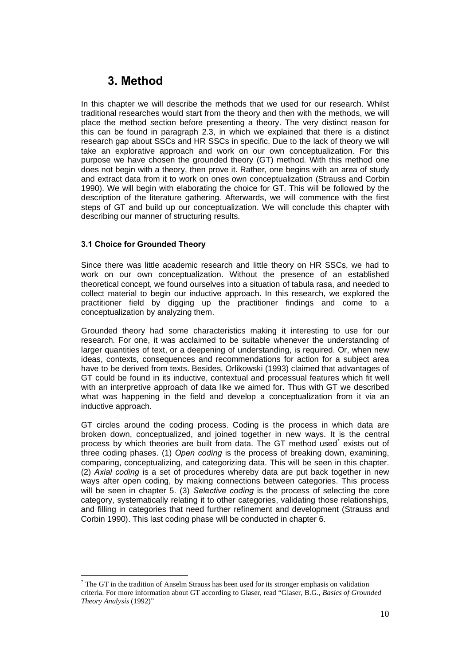# **3. Method**

In this chapter we will describe the methods that we used for our research. Whilst traditional researches would start from the theory and then with the methods, we will place the method section before presenting a theory. The very distinct reason for this can be found in paragraph 2.3, in which we explained that there is a distinct research gap about SSCs and HR SSCs in specific. Due to the lack of theory we will take an explorative approach and work on our own conceptualization. For this purpose we have chosen the grounded theory (GT) method. With this method one does not begin with a theory, then prove it. Rather, one begins with an area of study and extract data from it to work on ones own conceptualization (Strauss and Corbin 1990). We will begin with elaborating the choice for GT. This will be followed by the description of the literature gathering. Afterwards, we will commence with the first steps of GT and build up our conceptualization. We will conclude this chapter with describing our manner of structuring results.

### **3.1 Choice for Grounded Theory**

Since there was little academic research and little theory on HR SSCs, we had to work on our own conceptualization. Without the presence of an established theoretical concept, we found ourselves into a situation of tabula rasa, and needed to collect material to begin our inductive approach. In this research, we explored the practitioner field by digging up the practitioner findings and come to a conceptualization by analyzing them.

Grounded theory had some characteristics making it interesting to use for our research. For one, it was acclaimed to be suitable whenever the understanding of larger quantities of text, or a deepening of understanding, is required. Or, when new ideas, contexts, consequences and recommendations for action for a subject area have to be derived from texts. Besides, Orlikowski (1993) claimed that advantages of GT could be found in its inductive, contextual and processual features which fit well with an interpretive approach of data like we aimed for. Thus with GT we described what was happening in the field and develop a conceptualization from it via an inductive approach.

GT circles around the coding process. Coding is the process in which data are broken down, conceptualized, and joined together in new ways. It is the central process by which theories are built from data. The GT method used exists out of three coding phases. (1) *Open coding* is the process of breaking down, examining, comparing, conceptualizing, and categorizing data. This will be seen in this chapter. (2) *Axial coding* is a set of procedures whereby data are put back together in new ways after open coding, by making connections between categories. This process will be seen in chapter 5. (3) *Selective coding* is the process of selecting the core category, systematically relating it to other categories, validating those relationships, and filling in categories that need further refinement and development (Strauss and Corbin 1990). This last coding phase will be conducted in chapter 6.

<sup>\*</sup> The GT in the tradition of Anselm Strauss has been used for its stronger emphasis on validation criteria. For more information about GT according to Glaser, read "Glaser, B.G., *Basics of Grounded Theory Analysis* (1992)"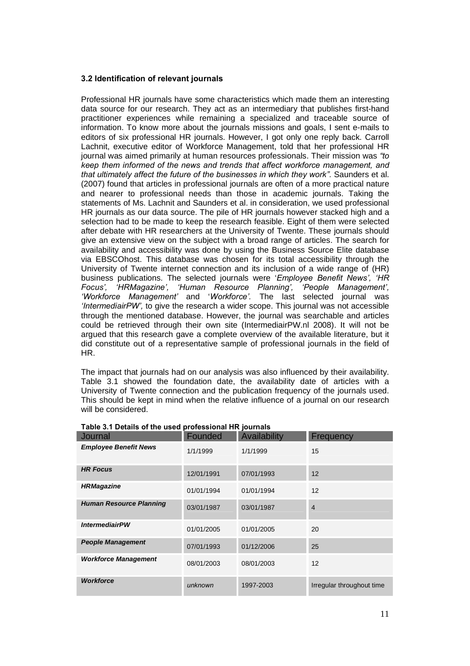### **3.2 Identification of relevant journals**

Professional HR journals have some characteristics which made them an interesting data source for our research. They act as an intermediary that publishes first-hand practitioner experiences while remaining a specialized and traceable source of information. To know more about the journals missions and goals, I sent e-mails to editors of six professional HR journals. However, I got only one reply back. Carroll Lachnit, executive editor of Workforce Management, told that her professional HR journal was aimed primarily at human resources professionals. Their mission was *to keep them informed of the news and trends that affect workforce management, and that ultimately affect the future of the businesses in which they work.* Saunders et al. (2007) found that articles in professional journals are often of a more practical nature and nearer to professional needs than those in academic journals. Taking the statements of Ms. Lachnit and Saunders et al. in consideration, we used professional HR journals as our data source. The pile of HR journals however stacked high and a selection had to be made to keep the research feasible. Eight of them were selected after debate with HR researchers at the University of Twente. These journals should give an extensive view on the subject with a broad range of articles. The search for availability and accessibility was done by using the Business Source Elite database via EBSCOhost. This database was chosen for its total accessibility through the University of Twente internet connection and its inclusion of a wide range of (HR) business publications. The selected journals were '*Employee Benefit News, HR Focus, HRMagazine, Human Resource Planning, People Management, Workforce Management* and '*Workforce.* The last selected journal was *IntermediairPW,* to give the research a wider scope. This journal was not accessible through the mentioned database. However, the journal was searchable and articles could be retrieved through their own site (IntermediairPW.nl 2008). It will not be argued that this research gave a complete overview of the available literature, but it did constitute out of a representative sample of professional journals in the field of HR.

The impact that journals had on our analysis was also influenced by their availability. Table 3.1 showed the foundation date, the availability date of articles with a University of Twente connection and the publication frequency of the journals used. This should be kept in mind when the relative influence of a journal on our research will be considered.

| Journal                        | Founded    | Availability | Frequency                 |
|--------------------------------|------------|--------------|---------------------------|
| <b>Employee Benefit News</b>   | 1/1/1999   | 1/1/1999     | 15                        |
| <b>HR Focus</b>                | 12/01/1991 | 07/01/1993   | 12                        |
| <b>HRMagazine</b>              | 01/01/1994 | 01/01/1994   | 12                        |
| <b>Human Resource Planning</b> | 03/01/1987 | 03/01/1987   | $\overline{4}$            |
| <b>IntermediairPW</b>          | 01/01/2005 | 01/01/2005   | 20                        |
| <b>People Management</b>       | 07/01/1993 | 01/12/2006   | 25                        |
| <b>Workforce Management</b>    | 08/01/2003 | 08/01/2003   | 12                        |
| <b>Workforce</b>               | unknown    | 1997-2003    | Irregular throughout time |

### **Table 3.1 Details of the used professional HR journals**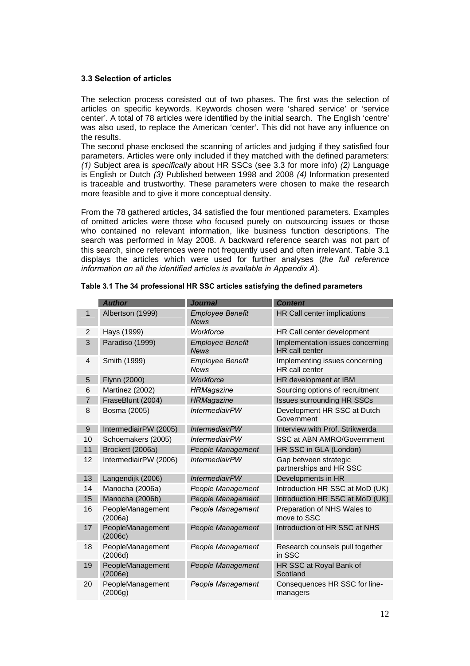### **3.3 Selection of articles**

The selection process consisted out of two phases. The first was the selection of articles on specific keywords. Keywords chosen were 'shared service' or 'service center'. A total of 78 articles were identified by the initial search. The English 'centre' was also used, to replace the American 'center'. This did not have any influence on the results.

The second phase enclosed the scanning of articles and judging if they satisfied four parameters. Articles were only included if they matched with the defined parameters: *(1)* Subject area is *specifically* about HR SSCs (see 3.3 for more info) *(2)* Language is English or Dutch *(3)* Published between 1998 and 2008 *(4)* Information presented is traceable and trustworthy. These parameters were chosen to make the research more feasible and to give it more conceptual density.

From the 78 gathered articles, 34 satisfied the four mentioned parameters. Examples of omitted articles were those who focused purely on outsourcing issues or those who contained no relevant information, like business function descriptions. The search was performed in May 2008. A backward reference search was not part of this search, since references were not frequently used and often irrelevant. Table 3.1 displays the articles which were used for further analyses (*the full reference information on all the identified articles is available in Appendix A*).

|                | <b>Author</b>               | <b>Journal</b>                         | <b>Content</b>                                     |
|----------------|-----------------------------|----------------------------------------|----------------------------------------------------|
| 1              | Albertson (1999)            | <b>Employee Benefit</b><br><b>News</b> | HR Call center implications                        |
| 2              | Hays (1999)                 | Workforce                              | HR Call center development                         |
| 3              | Paradiso (1999)             | <b>Employee Benefit</b><br><b>News</b> | Implementation issues concerning<br>HR call center |
| 4              | Smith (1999)                | <b>Employee Benefit</b><br><b>News</b> | Implementing issues concerning<br>HR call center   |
| 5              | Flynn (2000)                | Workforce                              | HR development at IBM                              |
| 6              | Martinez (2002)             | <b>HRMagazine</b>                      | Sourcing options of recruitment                    |
| $\overline{7}$ | FraseBlunt (2004)           | <b>HRMagazine</b>                      | <b>Issues surrounding HR SSCs</b>                  |
| 8              | Bosma (2005)                | <b>IntermediairPW</b>                  | Development HR SSC at Dutch<br>Government          |
| 9              | IntermediairPW (2005)       | <b>IntermediairPW</b>                  | Interview with Prof. Strikwerda                    |
| 10             | Schoemakers (2005)          | <b>IntermediairPW</b>                  | SSC at ABN AMRO/Government                         |
| 11             | Brockett (2006a)            | People Management                      | HR SSC in GLA (London)                             |
| 12             | IntermediairPW (2006)       | <b>IntermediairPW</b>                  | Gap between strategic<br>partnerships and HR SSC   |
| 13             | Langendijk (2006)           | <b>IntermediairPW</b>                  | Developments in HR                                 |
| 14             | Manocha (2006a)             | People Management                      | Introduction HR SSC at MoD (UK)                    |
| 15             | Manocha (2006b)             | <b>People Management</b>               | Introduction HR SSC at MoD (UK)                    |
| 16             | PeopleManagement<br>(2006a) | People Management                      | Preparation of NHS Wales to<br>move to SSC         |
| 17             | PeopleManagement<br>(2006c) | People Management                      | Introduction of HR SSC at NHS                      |
| 18             | PeopleManagement<br>(2006d) | People Management                      | Research counsels pull together<br>in SSC          |
| 19             | PeopleManagement<br>(2006e) | People Management                      | HR SSC at Royal Bank of<br>Scotland                |
| 20             | PeopleManagement<br>(2006g) | People Management                      | Consequences HR SSC for line-<br>managers          |

### **Table 3.1 The 34 professional HR SSC articles satisfying the defined parameters**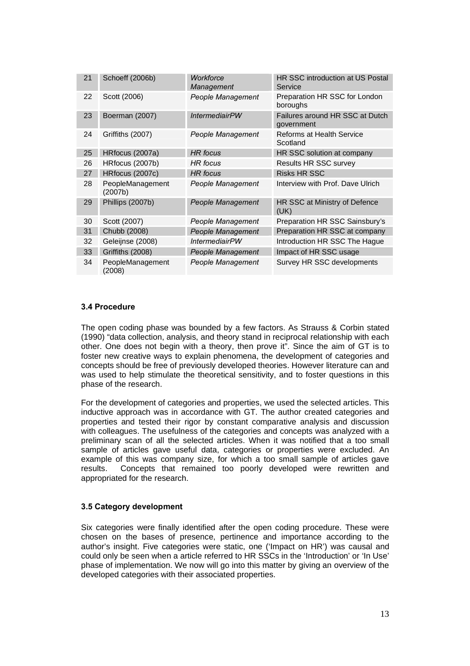| 21 | Schoeff (2006b)             | Workforce<br>Management | HR SSC introduction at US Postal<br>Service   |
|----|-----------------------------|-------------------------|-----------------------------------------------|
| 22 | Scott (2006)                | People Management       | Preparation HR SSC for London<br>boroughs     |
| 23 | Boerman (2007)              | <b>IntermediairPW</b>   | Failures around HR SSC at Dutch<br>government |
| 24 | Griffiths (2007)            | People Management       | Reforms at Health Service<br>Scotland         |
| 25 | HRfocus (2007a)             | <b>HR</b> focus         | HR SSC solution at company                    |
| 26 | HRfocus (2007b)             | HR focus                | Results HR SSC survey                         |
| 27 | HRfocus (2007c)             | <b>HR</b> focus         | <b>Risks HR SSC</b>                           |
| 28 | PeopleManagement<br>(2007b) | People Management       | Interview with Prof. Dave Ulrich              |
| 29 | Phillips (2007b)            | People Management       | HR SSC at Ministry of Defence<br>(UK)         |
| 30 | Scott (2007)                | People Management       | Preparation HR SSC Sainsbury's                |
| 31 | Chubb (2008)                | People Management       | Preparation HR SSC at company                 |
| 32 | Geleijnse (2008)            | <i>IntermediairPW</i>   | Introduction HR SSC The Hague                 |
| 33 | Griffiths (2008)            | People Management       | Impact of HR SSC usage                        |
| 34 | PeopleManagement<br>(2008)  | People Management       | Survey HR SSC developments                    |

### **3.4 Procedure**

The open coding phase was bounded by a few factors. As Strauss & Corbin stated (1990) "data collection, analysis, and theory stand in reciprocal relationship with each other. One does not begin with a theory, then prove it". Since the aim of GT is to foster new creative ways to explain phenomena, the development of categories and concepts should be free of previously developed theories. However literature can and was used to help stimulate the theoretical sensitivity, and to foster questions in this phase of the research.

For the development of categories and properties, we used the selected articles. This inductive approach was in accordance with GT. The author created categories and properties and tested their rigor by constant comparative analysis and discussion with colleagues. The usefulness of the categories and concepts was analyzed with a preliminary scan of all the selected articles. When it was notified that a too small sample of articles gave useful data, categories or properties were excluded. An example of this was company size, for which a too small sample of articles gave results. Concepts that remained too poorly developed were rewritten and appropriated for the research.

### **3.5 Category development**

Six categories were finally identified after the open coding procedure. These were chosen on the bases of presence, pertinence and importance according to the author's insight. Five categories were static, one ('Impact on HR') was causal and could only be seen when a article referred to HR SSCs in the 'Introduction' or 'In Use' phase of implementation. We now will go into this matter by giving an overview of the developed categories with their associated properties.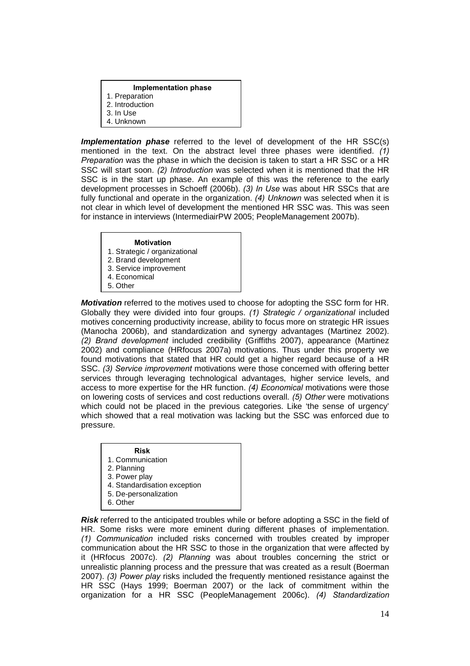### **Implementation phase**

- 1. Preparation
- 2. Introduction
- 3. In Use
- 4. Unknown

*Implementation phase* referred to the level of development of the HR SSC(s) mentioned in the text. On the abstract level three phases were identified. *(1) Preparation* was the phase in which the decision is taken to start a HR SSC or a HR SSC will start soon. *(2) Introduction* was selected when it is mentioned that the HR SSC is in the start up phase. An example of this was the reference to the early development processes in Schoeff (2006b). *(3) In Use* was about HR SSCs that are fully functional and operate in the organization. *(4) Unknown* was selected when it is not clear in which level of development the mentioned HR SSC was. This was seen for instance in interviews (IntermediairPW 2005; PeopleManagement 2007b).

### **Motivation**

- 1. Strategic / organizational
- 2. Brand development
- 3. Service improvement
- 4. Economical
- 5. Other

*Motivation* referred to the motives used to choose for adopting the SSC form for HR. Globally they were divided into four groups. *(1) Strategic / organizational* included motives concerning productivity increase, ability to focus more on strategic HR issues (Manocha 2006b), and standardization and synergy advantages (Martinez 2002). *(2) Brand development* included credibility (Griffiths 2007), appearance (Martinez 2002) and compliance (HRfocus 2007a) motivations. Thus under this property we found motivations that stated that HR could get a higher regard because of a HR SSC. *(3) Service improvement* motivations were those concerned with offering better services through leveraging technological advantages, higher service levels, and access to more expertise for the HR function. *(4) Economical* motivations were those on lowering costs of services and cost reductions overall. *(5) Other* were motivations which could not be placed in the previous categories. Like 'the sense of urgency' which showed that a real motivation was lacking but the SSC was enforced due to pressure.

### **Risk**

- 1. Communication
- 2. Planning
- 3. Power play
- 4. Standardisation exception
- 5. De-personalization
- 6. Other

*Risk* referred to the anticipated troubles while or before adopting a SSC in the field of HR. Some risks were more eminent during different phases of implementation. *(1) Communication* included risks concerned with troubles created by improper communication about the HR SSC to those in the organization that were affected by it (HRfocus 2007c). *(2) Planning* was about troubles concerning the strict or unrealistic planning process and the pressure that was created as a result (Boerman 2007). *(3) Power play* risks included the frequently mentioned resistance against the HR SSC (Hays 1999; Boerman 2007) or the lack of commitment within the organization for a HR SSC (PeopleManagement 2006c). *(4) Standardization*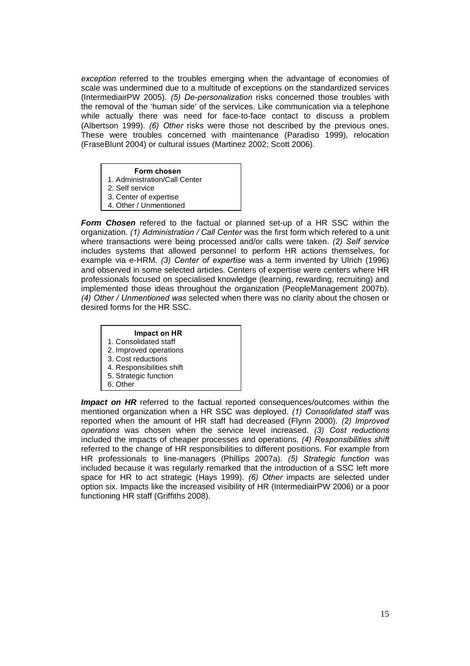*exception* referred to the troubles emerging when the advantage of economies of scale was undermined due to a multitude of exceptions on the standardized services (IntermediairPW 2005). *(5) De-personalization* risks concerned those troubles with the removal of the 'human side' of the services. Like communication via a telephone while actually there was need for face-to-face contact to discuss a problem (Albertson 1999). *(6) Other* risks were those not described by the previous ones. These were troubles concerned with maintenance (Paradiso 1999), relocation (FraseBlunt 2004) or cultural issues (Martinez 2002; Scott 2006).

- **Form chosen**
- 1. Administration/Call Center
- 2. Self service
- 3. Center of expertise
- 4. Other / Unmentioned

*Form Chosen* refered to the factual or planned set-up of a HR SSC within the organization. *(1) Administration / Call Center* was the first form which refered to a unit where transactions were being processed and/or calls were taken. *(2) Self service*  includes systems that allowed personnel to perform HR actions themselves, for example via e-HRM. *(3) Center of expertise* was a term invented by Ulrich (1996) and observed in some selected articles. Centers of expertise were centers where HR professionals focused on specialised knowledge (learning, rewarding, recruiting) and implemented those ideas throughout the organization (PeopleManagement 2007b). *(4) Other / Unmentioned was* selected when there was no clarity about the chosen or desired forms for the HR SSC.

## **Impact on HR**

- 1. Consolidated staff
- 2. Improved operations
- 3. Cost reductions
- 4. Responsibilities shift
- 5. Strategic function
- 6. Other

*Impact on HR* referred to the factual reported consequences/outcomes within the mentioned organization when a HR SSC was deployed. *(1) Consolidated staff* was reported when the amount of HR staff had decreased (Flynn 2000). *(2) Improved operations* was chosen when the service level increased. *(3) Cost reductions*  included the impacts of cheaper processes and operations. *(4) Responsibilities shift*  referred to the change of HR responsibilities to different positions. For example from HR professionals to line-managers (Phillips 2007a). *(5) Strategic function* was included because it was regularly remarked that the introduction of a SSC left more space for HR to act strategic (Hays 1999). *(6) Other* impacts are selected under option six. Impacts like the increased visibility of HR (IntermediairPW 2006) or a poor functioning HR staff (Griffiths 2008).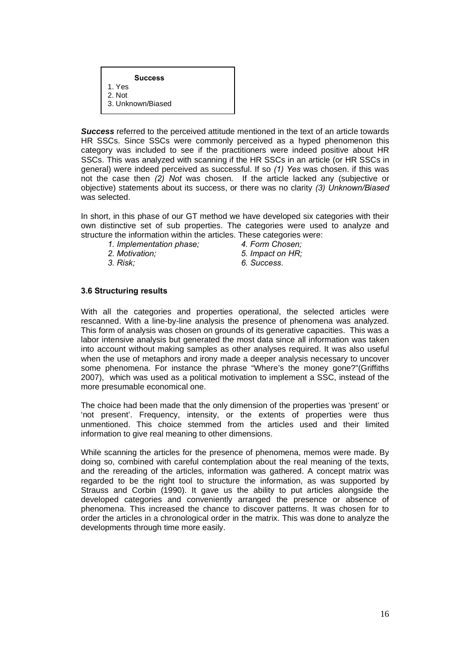### **Success**

1. Yes

- 2. Not 3. Unknown/Biased
- 

*Success* referred to the perceived attitude mentioned in the text of an article towards HR SSCs. Since SSCs were commonly perceived as a hyped phenomenon this category was included to see if the practitioners were indeed positive about HR SSCs. This was analyzed with scanning if the HR SSCs in an article (or HR SSCs in general) were indeed perceived as successful. If so *(1) Yes* was chosen. if this was not the case then *(2) Not* was chosen. If the article lacked any (subjective or objective) statements about its success, or there was no clarity *(3) Unknown/Biased*  was selected.

In short, in this phase of our GT method we have developed six categories with their own distinctive set of sub properties. The categories were used to analyze and structure the information within the articles. These categories were:

- *1. Implementation phase; 4. Form Chosen;*
- 
- 
- 
- *2. Motivation; 5. Impact on HR;*
- *3. Risk; 6. Success.*

### **3.6 Structuring results**

With all the categories and properties operational, the selected articles were rescanned. With a line-by-line analysis the presence of phenomena was analyzed. This form of analysis was chosen on grounds of its generative capacities. This was a labor intensive analysis but generated the most data since all information was taken into account without making samples as other analyses required. It was also useful when the use of metaphors and irony made a deeper analysis necessary to uncover some phenomena. For instance the phrase "Where's the money gone?"(Griffiths 2007), which was used as a political motivation to implement a SSC, instead of the more presumable economical one.

The choice had been made that the only dimension of the properties was 'present' or 'not present'. Frequency, intensity, or the extents of properties were thus unmentioned. This choice stemmed from the articles used and their limited information to give real meaning to other dimensions.

While scanning the articles for the presence of phenomena, memos were made. By doing so, combined with careful contemplation about the real meaning of the texts, and the rereading of the articles, information was gathered. A concept matrix was regarded to be the right tool to structure the information, as was supported by Strauss and Corbin (1990). It gave us the ability to put articles alongside the developed categories and conveniently arranged the presence or absence of phenomena. This increased the chance to discover patterns. It was chosen for to order the articles in a chronological order in the matrix. This was done to analyze the developments through time more easily.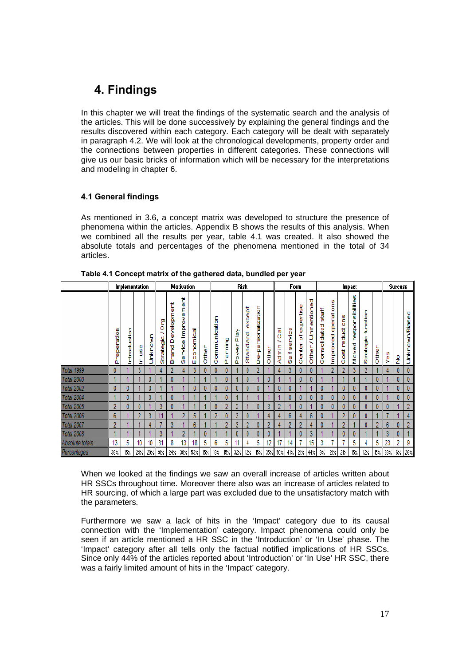# **4. Findings**

In this chapter we will treat the findings of the systematic search and the analysis of the articles. This will be done successively by explaining the general findings and the results discovered within each category. Each category will be dealt with separately in paragraph 4.2. We will look at the chronological developments, property order and the connections between properties in different categories. These connections will give us our basic bricks of information which will be necessary for the interpretations and modeling in chapter 6.

### **4.1 General findings**

As mentioned in 3.6, a concept matrix was developed to structure the presence of phenomena within the articles. Appendix B shows the results of this analysis. When we combined all the results per year, table 4.1 was created. It also showed the absolute totals and percentages of the phenomena mentioned in the total of 34 articles.

|                   |                | Implementation |         |         |                |                                   | <b>Motivation</b>            |                |          |                     |          | <b>Risk</b>   |                        |                                 |               |                  | Form            |                              |                                  |                           |                       |                      | Impact                       |                       |       |                        | <b>Success</b> |                           |
|-------------------|----------------|----------------|---------|---------|----------------|-----------------------------------|------------------------------|----------------|----------|---------------------|----------|---------------|------------------------|---------------------------------|---------------|------------------|-----------------|------------------------------|----------------------------------|---------------------------|-----------------------|----------------------|------------------------------|-----------------------|-------|------------------------|----------------|---------------------------|
|                   | Preperation    | Introduction   | gg<br>£ | Jnknown | P<br>Strategic | 톱<br>velopm<br>Φ<br>۵<br>eng<br>齿 | 톱<br>Improvem<br>ervice<br>Ō | conomical<br>Ш | ed<br>To | unication<br>E<br>5 | Planning | Play<br>Power | xcept<br>m<br>Standard | ation<br>sonaliz<br>ă<br>Φ<br>۵ | <b>Derive</b> | 高い<br>∼<br>Admin | service<br>Self | expertise<br>đ<br>enter<br>Õ | entioned<br>Ĕ<br>∼<br>other<br>O | staff<br>onsolidated<br>Ō | operations<br>mproved | reductions<br>ã<br>O | esponsibilities<br>oved<br>ż | function<br>Strategic | Other | 9θ<br>Φ                | ž              | τ<br><b>Jnknown/Biase</b> |
| Total 1999        | 0              |                | 3       |         |                | n                                 |                              | 3              | 0        |                     |          |               |                        | ŋ                               |               |                  | 3               |                              |                                  |                           | 2                     |                      | 3                            | 2                     |       |                        |                |                           |
| <b>Total 2000</b> |                |                |         |         |                |                                   |                              |                |          |                     |          |               |                        |                                 | 0             |                  |                 |                              |                                  |                           |                       |                      |                              |                       |       |                        | 0              | $\mathbf{0}$              |
| Total 2002        | 0              | 0              |         |         |                |                                   |                              | 0              | 0        |                     | 0        | 0             |                        |                                 |               | 0                | 0               |                              |                                  | 0                         |                       |                      |                              | 0                     |       |                        | 0              | $\mathbf{0}$              |
| Total 2004        |                | 0              |         |         |                |                                   |                              |                |          |                     |          |               |                        |                                 |               |                  | 0               |                              | 0                                | 0                         | 0                     |                      | 0                            | 0                     |       |                        | 0              | $\mathbf{0}$              |
| Total 2005        | 2              | 0              |         |         | 3              |                                   |                              |                |          |                     | 2        | 2             |                        |                                 | 3             | 2                |                 |                              |                                  | 0                         | 0                     |                      | 0                            | 0                     |       | 0                      |                | $\overline{2}$            |
| Total 2006        | 6              |                | 2       | 3       | 44             |                                   | $\overline{2}$               | 5              |          | 2                   | 0        | 3             | 0                      |                                 |               | 4                | 6               |                              | 6                                | 0                         |                       | 9                    | 0                            | 0                     |       |                        |                |                           |
| Total 2007        | $\overline{ }$ |                |         |         |                | 3                                 |                              | 6              |          |                     | 2        | 3             | 2                      |                                 | 2             |                  | 2               | ٠                            |                                  | 0                         |                       |                      |                              | 0                     |       | 6                      |                | $\overline{2}$            |
| <b>Total 2008</b> |                |                |         |         | 3              |                                   | 2                            |                | 0        |                     |          | 0             |                        | 0                               | 0             |                  |                 |                              | 3                                |                           |                       |                      | 0                            |                       |       | 3                      |                |                           |
| Absolute totals   | 13             | 5              | 10      | 10      | 31             | 8                                 | 13                           | 18             | 5        | 6                   | 5        | 11            |                        | 5                               | 12            | 17               | 14              |                              | 15                               | 3                         | ь                     |                      | 5                            |                       | 5     | 23                     | 2              | 9                         |
| Percentages       | 38%            | 15%            | 29/     |         | 29% 91%        | $24 \times$                       | $38\%$                       | 53%            | 15%      | $18 \times$         | 15%      | 32/           | $12\times$             | $15 \times$                     |               | 35% 50%          | 41%             | 21/                          | 44%                              | 3%                        | 21/                   | 21/                  | $15\%$                       | $12\times$            |       | $15 \times 168 \times$ | 6%             | $26 \times$               |

**Table 4.1 Concept matrix of the gathered data, bundled per year** 

When we looked at the findings we saw an overall increase of articles written about HR SSCs throughout time. Moreover there also was an increase of articles related to HR sourcing, of which a large part was excluded due to the unsatisfactory match with the parameters.

Furthermore we saw a lack of hits in the 'Impact' category due to its causal connection with the 'Implementation' category. Impact phenomena could only be seen if an article mentioned a HR SSC in the 'Introduction' or 'In Use' phase. The 'Impact' category after all tells only the factual notified implications of HR SSCs. Since only 44% of the articles reported about 'Introduction' or 'In Use' HR SSC, there was a fairly limited amount of hits in the 'Impact' category.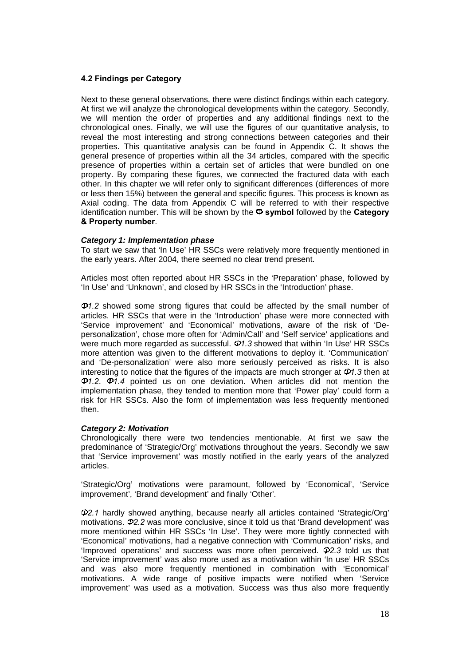### **4.2 Findings per Category**

Next to these general observations, there were distinct findings within each category. At first we will analyze the chronological developments within the category. Secondly, we will mention the order of properties and any additional findings next to the chronological ones. Finally, we will use the figures of our quantitative analysis, to reveal the most interesting and strong connections between categories and their properties. This quantitative analysis can be found in Appendix C. It shows the general presence of properties within all the 34 articles, compared with the specific presence of properties within a certain set of articles that were bundled on one property. By comparing these figures, we connected the fractured data with each other. In this chapter we will refer only to significant differences (differences of more or less then 15%) between the general and specific figures. This process is known as Axial coding. The data from Appendix C will be referred to with their respective identification number. This will be shown by the **symbol** followed by the **Category & Property number**.

### *Category 1: Implementation phase*

To start we saw that 'In Use' HR SSCs were relatively more frequently mentioned in the early years. After 2004, there seemed no clear trend present.

Articles most often reported about HR SSCs in the 'Preparation' phase, followed by 'In Use' and 'Unknown', and closed by HR SSCs in the 'Introduction' phase.

*1.2* showed some strong figures that could be affected by the small number of articles. HR SSCs that were in the 'Introduction' phase were more connected with 'Service improvement' and 'Economical' motivations, aware of the risk of 'Depersonalization', chose more often for 'Admin/Call' and 'Self service' applications and were much more regarded as successful.  $\Phi$ 1.3 showed that within 'In Use' HR SSCs more attention was given to the different motivations to deploy it. 'Communication' and 'De-personalization' were also more seriously perceived as risks. It is also interesting to notice that the figures of the impacts are much stronger at  $\Phi$ 1.3 then at *1.2*. *1.4* pointed us on one deviation. When articles did not mention the implementation phase, they tended to mention more that 'Power play' could form a risk for HR SSCs. Also the form of implementation was less frequently mentioned then.

### *Category 2: Motivation*

Chronologically there were two tendencies mentionable. At first we saw the predominance of 'Strategic/Org' motivations throughout the years. Secondly we saw that 'Service improvement' was mostly notified in the early years of the analyzed articles.

'Strategic/Org' motivations were paramount, followed by 'Economical', 'Service improvement', 'Brand development' and finally 'Other'.

*2.1* hardly showed anything, because nearly all articles contained 'Strategic/Org' motivations.  $\Phi$ 2.2 was more conclusive, since it told us that 'Brand development' was more mentioned within HR SSCs 'In Use'. They were more tightly connected with 'Economical' motivations, had a negative connection with 'Communication' risks, and 'Improved operations' and success was more often perceived. *2.3* told us that 'Service improvement' was also more used as a motivation within 'In use' HR SSCs and was also more frequently mentioned in combination with 'Economical' motivations. A wide range of positive impacts were notified when 'Service improvement' was used as a motivation. Success was thus also more frequently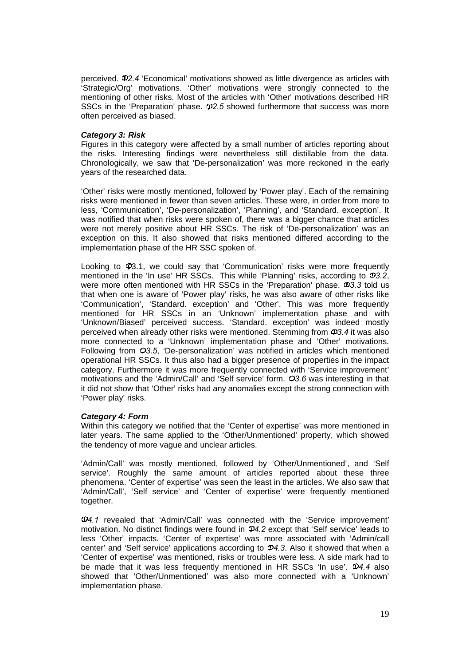perceived.  $\Phi$ 2.4 'Economical' motivations showed as little divergence as articles with 'Strategic/Org' motivations. 'Other' motivations were strongly connected to the mentioning of other risks. Most of the articles with 'Other' motivations described HR SSCs in the 'Preparation' phase.  $\Phi$ 2.5 showed furthermore that success was more often perceived as biased.

### *Category 3: Risk*

Figures in this category were affected by a small number of articles reporting about the risks. Interesting findings were nevertheless still distillable from the data. Chronologically, we saw that 'De-personalization' was more reckoned in the early years of the researched data.

'Other' risks were mostly mentioned, followed by 'Power play'. Each of the remaining risks were mentioned in fewer than seven articles. These were, in order from more to less, 'Communication', 'De-personalization', 'Planning', and 'Standard. exception'. It was notified that when risks were spoken of, there was a bigger chance that articles were not merely positive about HR SSCs. The risk of 'De-personalization' was an exception on this. It also showed that risks mentioned differed according to the implementation phase of the HR SSC spoken of.

Looking to  $40.1$ , we could say that 'Communication' risks were more frequently mentioned in the 'In use' HR SSCs. This while 'Planning' risks, according to  $\Phi$ 3.2, were more often mentioned with HR SSCs in the 'Preparation' phase.  $\mathcal{P}3.3$  told us that when one is aware of 'Power play' risks, he was also aware of other risks like 'Communication', 'Standard. exception' and 'Other'. This was more frequently mentioned for HR SSCs in an 'Unknown' implementation phase and with 'Unknown/Biased' perceived success. 'Standard. exception' was indeed mostly perceived when already other risks were mentioned. Stemming from *3.4* it was also more connected to a 'Unknown' implementation phase and 'Other' motivations. Following from *3.5*, 'De-personalization' was notified in articles which mentioned operational HR SSCs. It thus also had a bigger presence of properties in the impact category. Furthermore it was more frequently connected with 'Service improvement' motivations and the 'Admin/Call' and 'Self service' form.  $\Phi$ 3.6 was interesting in that it did not show that 'Other' risks had any anomalies except the strong connection with 'Power play' risks.

### *Category 4: Form*

Within this category we notified that the 'Center of expertise' was more mentioned in later years. The same applied to the 'Other/Unmentioned' property, which showed the tendency of more vague and unclear articles.

'Admin/Call' was mostly mentioned, followed by 'Other/Unmentioned', and 'Self service'. Roughly the same amount of articles reported about these three phenomena. 'Center of expertise' was seen the least in the articles. We also saw that 'Admin/Call', 'Self service' and 'Center of expertise' were frequently mentioned together.

*4.1* revealed that 'Admin/Call' was connected with the 'Service improvement' motivation. No distinct findings were found in *4.2* except that 'Self service' leads to less 'Other' impacts. 'Center of expertise' was more associated with 'Admin/call center' and 'Self service' applications according to  $\mathcal{P}4.3$ . Also it showed that when a 'Center of expertise' was mentioned, risks or troubles were less. A side mark had to be made that it was less frequently mentioned in HR SSCs 'In use'. *4.4* also showed that 'Other/Unmentioned' was also more connected with a 'Unknown' implementation phase.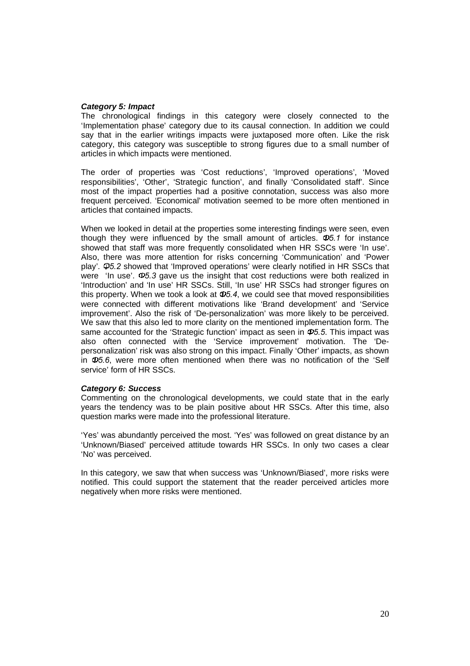### *Category 5: Impact*

The chronological findings in this category were closely connected to the 'Implementation phase' category due to its causal connection. In addition we could say that in the earlier writings impacts were juxtaposed more often. Like the risk category, this category was susceptible to strong figures due to a small number of articles in which impacts were mentioned.

The order of properties was 'Cost reductions', 'Improved operations', 'Moved responsibilities', 'Other', 'Strategic function', and finally 'Consolidated staff'. Since most of the impact properties had a positive connotation, success was also more frequent perceived. 'Economical' motivation seemed to be more often mentioned in articles that contained impacts.

When we looked in detail at the properties some interesting findings were seen, even though they were influenced by the small amount of articles.  $\Phi$ 5.1 for instance showed that staff was more frequently consolidated when HR SSCs were 'In use'. Also, there was more attention for risks concerning 'Communication' and 'Power play'. *5.2* showed that 'Improved operations' were clearly notified in HR SSCs that were 'In use'.  $\Phi$ 5.3 gave us the insight that cost reductions were both realized in 'Introduction' and 'In use' HR SSCs. Still, 'In use' HR SSCs had stronger figures on this property. When we took a look at  $\Phi$ 5.4, we could see that moved responsibilities were connected with different motivations like 'Brand development' and 'Service improvement'. Also the risk of 'De-personalization' was more likely to be perceived. We saw that this also led to more clarity on the mentioned implementation form. The same accounted for the 'Strategic function' impact as seen in  $\Phi$ 5.5. This impact was also often connected with the 'Service improvement' motivation. The 'Depersonalization' risk was also strong on this impact. Finally 'Other' impacts, as shown in *5.6*, were more often mentioned when there was no notification of the 'Self service' form of HR SSCs.

### *Category 6: Success*

Commenting on the chronological developments, we could state that in the early years the tendency was to be plain positive about HR SSCs. After this time, also question marks were made into the professional literature.

'Yes' was abundantly perceived the most. 'Yes' was followed on great distance by an 'Unknown/Biased' perceived attitude towards HR SSCs. In only two cases a clear 'No' was perceived.

In this category, we saw that when success was 'Unknown/Biased', more risks were notified. This could support the statement that the reader perceived articles more negatively when more risks were mentioned.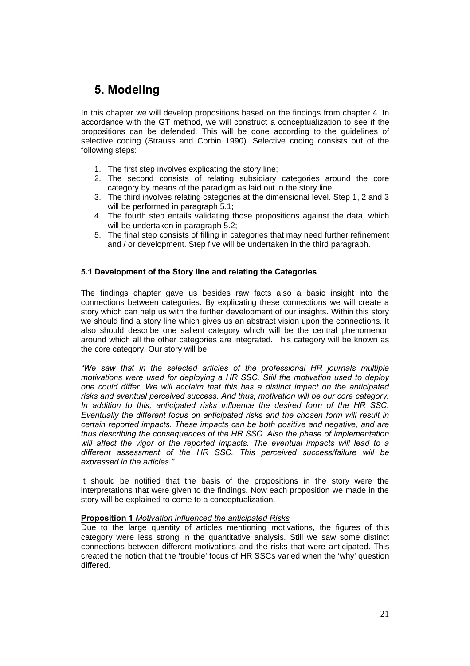# **5. Modeling**

In this chapter we will develop propositions based on the findings from chapter 4. In accordance with the GT method, we will construct a conceptualization to see if the propositions can be defended. This will be done according to the guidelines of selective coding (Strauss and Corbin 1990). Selective coding consists out of the following steps:

- 1. The first step involves explicating the story line;
- 2. The second consists of relating subsidiary categories around the core category by means of the paradigm as laid out in the story line;
- 3. The third involves relating categories at the dimensional level. Step 1, 2 and 3 will be performed in paragraph 5.1;
- 4. The fourth step entails validating those propositions against the data, which will be undertaken in paragraph 5.2;
- 5. The final step consists of filling in categories that may need further refinement and / or development. Step five will be undertaken in the third paragraph.

### **5.1 Development of the Story line and relating the Categories**

The findings chapter gave us besides raw facts also a basic insight into the connections between categories. By explicating these connections we will create a story which can help us with the further development of our insights. Within this story we should find a story line which gives us an abstract vision upon the connections. It also should describe one salient category which will be the central phenomenon around which all the other categories are integrated. This category will be known as the core category. Our story will be:

*We saw that in the selected articles of the professional HR journals multiple motivations were used for deploying a HR SSC. Still the motivation used to deploy one could differ. We will acclaim that this has a distinct impact on the anticipated risks and eventual perceived success. And thus, motivation will be our core category. In addition to this, anticipated risks influence the desired form of the HR SSC. Eventually the different focus on anticipated risks and the chosen form will result in certain reported impacts. These impacts can be both positive and negative, and are thus describing the consequences of the HR SSC. Also the phase of implementation will affect the vigor of the reported impacts. The eventual impacts will lead to a different assessment of the HR SSC. This perceived success/failure will be expressed in the articles.*

It should be notified that the basis of the propositions in the story were the interpretations that were given to the findings. Now each proposition we made in the story will be explained to come to a conceptualization.

### **Proposition 1** *Motivation influenced the anticipated Risks*

Due to the large quantity of articles mentioning motivations, the figures of this category were less strong in the quantitative analysis. Still we saw some distinct connections between different motivations and the risks that were anticipated. This created the notion that the 'trouble' focus of HR SSCs varied when the 'why' question differed.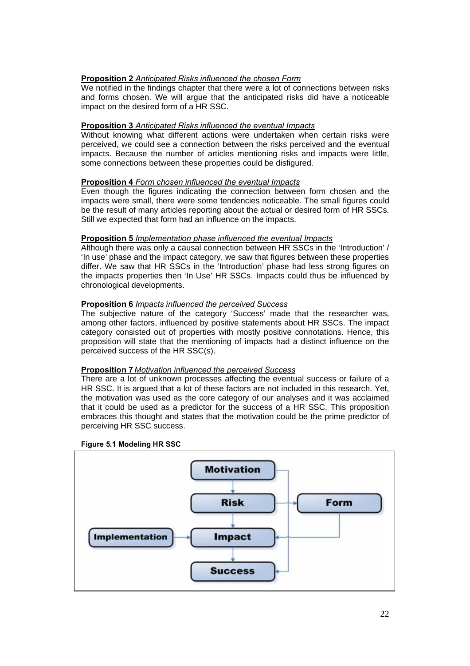### **Proposition 2** *Anticipated Risks influenced the chosen Form*

We notified in the findings chapter that there were a lot of connections between risks and forms chosen. We will argue that the anticipated risks did have a noticeable impact on the desired form of a HR SSC.

### **Proposition 3** *Anticipated Risks influenced the eventual Impacts*

Without knowing what different actions were undertaken when certain risks were perceived, we could see a connection between the risks perceived and the eventual impacts. Because the number of articles mentioning risks and impacts were little, some connections between these properties could be disfigured.

### **Proposition 4** *Form chosen influenced the eventual Impacts*

Even though the figures indicating the connection between form chosen and the impacts were small, there were some tendencies noticeable. The small figures could be the result of many articles reporting about the actual or desired form of HR SSCs. Still we expected that form had an influence on the impacts.

### **Proposition 5** *Implementation phase influenced the eventual Impacts*

Although there was only a causal connection between HR SSCs in the 'Introduction' / 'In use' phase and the impact category, we saw that figures between these properties differ. We saw that HR SSCs in the 'Introduction' phase had less strong figures on the impacts properties then 'In Use' HR SSCs. Impacts could thus be influenced by chronological developments.

### **Proposition 6** *Impacts influenced the perceived Success*

The subjective nature of the category 'Success' made that the researcher was, among other factors, influenced by positive statements about HR SSCs. The impact category consisted out of properties with mostly positive connotations. Hence, this proposition will state that the mentioning of impacts had a distinct influence on the perceived success of the HR SSC(s).

### **Proposition 7** *Motivation influenced the perceived Success*

There are a lot of unknown processes affecting the eventual success or failure of a HR SSC. It is argued that a lot of these factors are not included in this research. Yet, the motivation was used as the core category of our analyses and it was acclaimed that it could be used as a predictor for the success of a HR SSC. This proposition embraces this thought and states that the motivation could be the prime predictor of perceiving HR SSC success.

### **Figure 5.1 Modeling HR SSC**

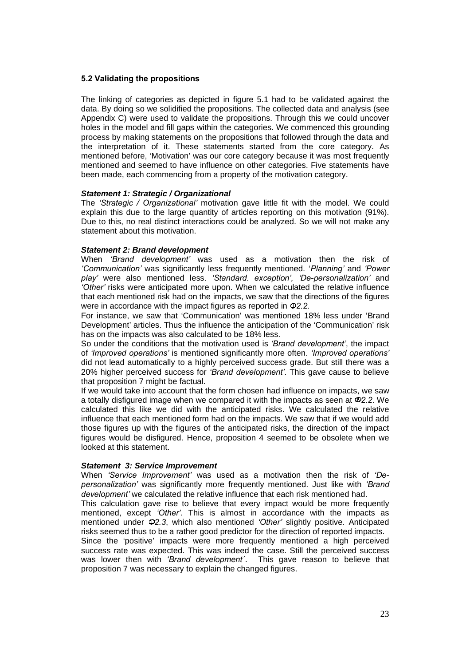### **5.2 Validating the propositions**

The linking of categories as depicted in figure 5.1 had to be validated against the data. By doing so we solidified the propositions. The collected data and analysis (see Appendix C) were used to validate the propositions. Through this we could uncover holes in the model and fill gaps within the categories. We commenced this grounding process by making statements on the propositions that followed through the data and the interpretation of it. These statements started from the core category. As mentioned before, 'Motivation' was our core category because it was most frequently mentioned and seemed to have influence on other categories. Five statements have been made, each commencing from a property of the motivation category.

### *Statement 1: Strategic / Organizational*

The *Strategic / Organizational* motivation gave little fit with the model. We could explain this due to the large quantity of articles reporting on this motivation (91%). Due to this, no real distinct interactions could be analyzed. So we will not make any statement about this motivation.

### *Statement 2: Brand development*

When *Brand development* was used as a motivation then the risk of *Communication* was significantly less frequently mentioned. '*Planning* and *Power play* were also mentioned less. *Standard. exception, De-personalization* and *Other* risks were anticipated more upon. When we calculated the relative influence that each mentioned risk had on the impacts, we saw that the directions of the figures were in accordance with the impact figures as reported in  $\Phi$ 2.2.

For instance, we saw that 'Communication' was mentioned 18% less under 'Brand Development' articles. Thus the influence the anticipation of the 'Communication' risk has on the impacts was also calculated to be 18% less.

So under the conditions that the motivation used is *Brand development*, the impact of *Improved operations* is mentioned significantly more often. *Improved operations* did not lead automatically to a highly perceived success grade. But still there was a 20% higher perceived success for *Brand development*. This gave cause to believe that proposition 7 might be factual.

If we would take into account that the form chosen had influence on impacts, we saw a totally disfigured image when we compared it with the impacts as seen at *2.2*. We calculated this like we did with the anticipated risks. We calculated the relative influence that each mentioned form had on the impacts. We saw that if we would add those figures up with the figures of the anticipated risks, the direction of the impact figures would be disfigured. Hence, proposition 4 seemed to be obsolete when we looked at this statement.

### *Statement 3: Service Improvement*

When *Service Improvement* was used as a motivation then the risk of *Depersonalization* was significantly more frequently mentioned. Just like with *Brand development* we calculated the relative influence that each risk mentioned had.

This calculation gave rise to believe that every impact would be more frequently mentioned, except *Other*. This is almost in accordance with the impacts as mentioned under *2.3*, which also mentioned *Other* slightly positive. Anticipated risks seemed thus to be a rather good predictor for the direction of reported impacts.

Since the 'positive' impacts were more frequently mentioned a high perceived success rate was expected. This was indeed the case. Still the perceived success was lower then with *Brand development´*. This gave reason to believe that proposition 7 was necessary to explain the changed figures.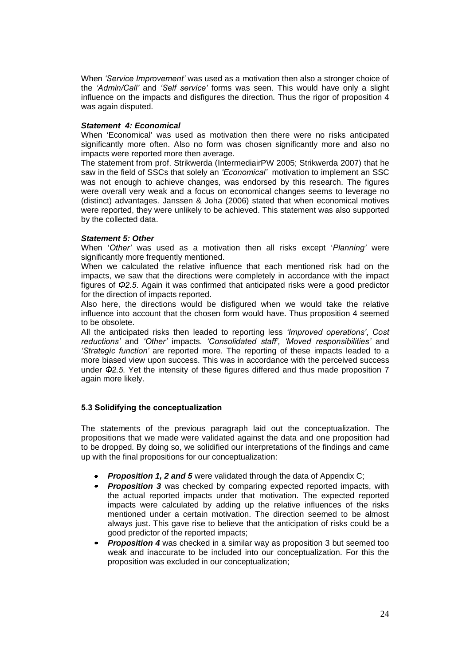When *Service Improvement* was used as a motivation then also a stronger choice of the *Admin/Call* and *Self service* forms was seen. This would have only a slight influence on the impacts and disfigures the direction. Thus the rigor of proposition 4 was again disputed.

### *Statement 4: Economical*

When 'Economical' was used as motivation then there were no risks anticipated significantly more often. Also no form was chosen significantly more and also no impacts were reported more then average.

The statement from prof. Strikwerda (IntermediairPW 2005; Strikwerda 2007) that he saw in the field of SSCs that solely an *Economical* motivation to implement an SSC was not enough to achieve changes, was endorsed by this research. The figures were overall very weak and a focus on economical changes seems to leverage no (distinct) advantages. Janssen & Joha (2006) stated that when economical motives were reported, they were unlikely to be achieved. This statement was also supported by the collected data.

### *Statement 5: Other*

When '*Other* was used as a motivation then all risks except '*Planning* were significantly more frequently mentioned.

When we calculated the relative influence that each mentioned risk had on the impacts, we saw that the directions were completely in accordance with the impact figures of  $\Phi$ 2.5. Again it was confirmed that anticipated risks were a good predictor for the direction of impacts reported.

Also here, the directions would be disfigured when we would take the relative influence into account that the chosen form would have. Thus proposition 4 seemed to be obsolete.

All the anticipated risks then leaded to reporting less *Improved operations*, *Cost reductions* and *Other* impacts. *Consolidated staff, Moved responsibilities* and *Strategic function* are reported more. The reporting of these impacts leaded to a more biased view upon success. This was in accordance with the perceived success under  $\Phi$ 2.5. Yet the intensity of these figures differed and thus made proposition 7 again more likely.

### **5.3 Solidifying the conceptualization**

The statements of the previous paragraph laid out the conceptualization. The propositions that we made were validated against the data and one proposition had to be dropped. By doing so, we solidified our interpretations of the findings and came up with the final propositions for our conceptualization:

- *Proposition 1, 2 and 5* were validated through the data of Appendix C;
- *Proposition 3* was checked by comparing expected reported impacts, with the actual reported impacts under that motivation. The expected reported impacts were calculated by adding up the relative influences of the risks mentioned under a certain motivation. The direction seemed to be almost always just. This gave rise to believe that the anticipation of risks could be a good predictor of the reported impacts;
- *Proposition 4* was checked in a similar way as proposition 3 but seemed too weak and inaccurate to be included into our conceptualization. For this the proposition was excluded in our conceptualization;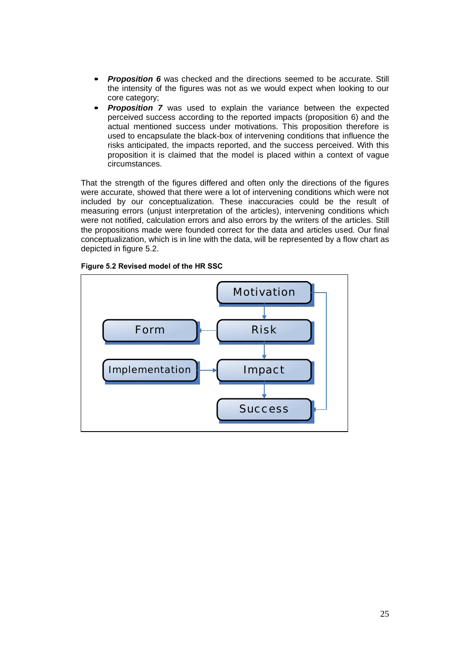- **Proposition 6** was checked and the directions seemed to be accurate. Still the intensity of the figures was not as we would expect when looking to our core category;
- **Proposition 7** was used to explain the variance between the expected perceived success according to the reported impacts (proposition 6) and the actual mentioned success under motivations. This proposition therefore is used to encapsulate the black-box of intervening conditions that influence the risks anticipated, the impacts reported, and the success perceived. With this proposition it is claimed that the model is placed within a context of vague circumstances.

That the strength of the figures differed and often only the directions of the figures were accurate, showed that there were a lot of intervening conditions which were not included by our conceptualization. These inaccuracies could be the result of measuring errors (unjust interpretation of the articles), intervening conditions which were not notified, calculation errors and also errors by the writers of the articles. Still the propositions made were founded correct for the data and articles used. Our final conceptualization, which is in line with the data, will be represented by a flow chart as depicted in figure 5.2.

**Figure 5.2 Revised model of the HR SSC** 

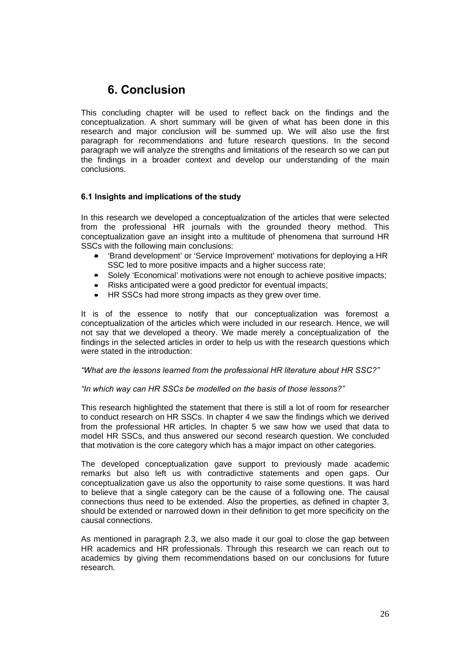# **6. Conclusion**

This concluding chapter will be used to reflect back on the findings and the conceptualization. A short summary will be given of what has been done in this research and major conclusion will be summed up. We will also use the first paragraph for recommendations and future research questions. In the second paragraph we will analyze the strengths and limitations of the research so we can put the findings in a broader context and develop our understanding of the main conclusions.

### **6.1 Insights and implications of the study**

In this research we developed a conceptualization of the articles that were selected from the professional HR journals with the grounded theory method. This conceptualization gave an insight into a multitude of phenomena that surround HR SSCs with the following main conclusions:

- 'Brand development' or 'Service Improvement' motivations for deploying a HR SSC led to more positive impacts and a higher success rate;
- Solely 'Economical' motivations were not enough to achieve positive impacts;
- Risks anticipated were a good predictor for eventual impacts;
- HR SSCs had more strong impacts as they grew over time.

It is of the essence to notify that our conceptualization was foremost a conceptualization of the articles which were included in our research. Hence, we will not say that we developed a theory. We made merely a conceptualization of the findings in the selected articles in order to help us with the research questions which were stated in the introduction:

### *What are the lessons learned from the professional HR literature about HR SSC?*

### *In which way can HR SSCs be modelled on the basis of those lessons?*

This research highlighted the statement that there is still a lot of room for researcher to conduct research on HR SSCs. In chapter 4 we saw the findings which we derived from the professional HR articles. In chapter 5 we saw how we used that data to model HR SSCs, and thus answered our second research question. We concluded that motivation is the core category which has a major impact on other categories.

The developed conceptualization gave support to previously made academic remarks but also left us with contradictive statements and open gaps. Our conceptualization gave us also the opportunity to raise some questions. It was hard to believe that a single category can be the cause of a following one. The causal connections thus need to be extended. Also the properties, as defined in chapter 3, should be extended or narrowed down in their definition to get more specificity on the causal connections.

As mentioned in paragraph 2.3, we also made it our goal to close the gap between HR academics and HR professionals. Through this research we can reach out to academics by giving them recommendations based on our conclusions for future research.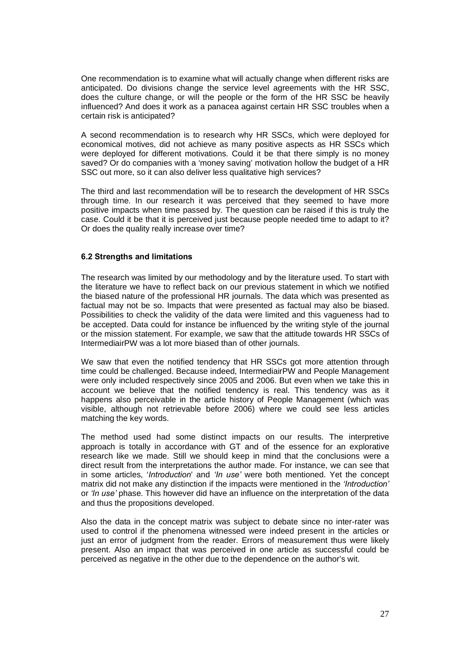One recommendation is to examine what will actually change when different risks are anticipated. Do divisions change the service level agreements with the HR SSC, does the culture change, or will the people or the form of the HR SSC be heavily influenced? And does it work as a panacea against certain HR SSC troubles when a certain risk is anticipated?

A second recommendation is to research why HR SSCs, which were deployed for economical motives, did not achieve as many positive aspects as HR SSCs which were deployed for different motivations. Could it be that there simply is no money saved? Or do companies with a 'money saving' motivation hollow the budget of a HR SSC out more, so it can also deliver less qualitative high services?

The third and last recommendation will be to research the development of HR SSCs through time. In our research it was perceived that they seemed to have more positive impacts when time passed by. The question can be raised if this is truly the case. Could it be that it is perceived just because people needed time to adapt to it? Or does the quality really increase over time?

### **6.2 Strengths and limitations**

The research was limited by our methodology and by the literature used. To start with the literature we have to reflect back on our previous statement in which we notified the biased nature of the professional HR journals. The data which was presented as factual may not be so. Impacts that were presented as factual may also be biased. Possibilities to check the validity of the data were limited and this vagueness had to be accepted. Data could for instance be influenced by the writing style of the journal or the mission statement. For example, we saw that the attitude towards HR SSCs of IntermediairPW was a lot more biased than of other journals.

We saw that even the notified tendency that HR SSCs got more attention through time could be challenged. Because indeed, IntermediairPW and People Management were only included respectively since 2005 and 2006. But even when we take this in account we believe that the notified tendency is real. This tendency was as it happens also perceivable in the article history of People Management (which was visible, although not retrievable before 2006) where we could see less articles matching the key words.

The method used had some distinct impacts on our results. The interpretive approach is totally in accordance with GT and of the essence for an explorative research like we made. Still we should keep in mind that the conclusions were a direct result from the interpretations the author made. For instance, we can see that in some articles, '*Introduction*' and *In use* were both mentioned. Yet the concept matrix did not make any distinction if the impacts were mentioned in the *Introduction* or *In use* phase. This however did have an influence on the interpretation of the data and thus the propositions developed.

Also the data in the concept matrix was subject to debate since no inter-rater was used to control if the phenomena witnessed were indeed present in the articles or just an error of judgment from the reader. Errors of measurement thus were likely present. Also an impact that was perceived in one article as successful could be perceived as negative in the other due to the dependence on the author's wit.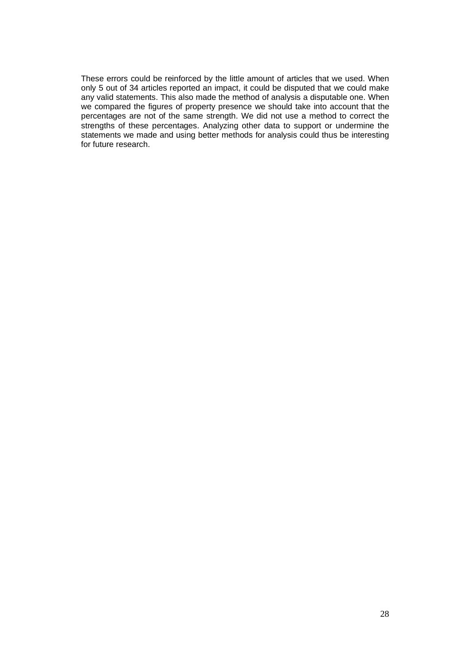These errors could be reinforced by the little amount of articles that we used. When only 5 out of 34 articles reported an impact, it could be disputed that we could make any valid statements. This also made the method of analysis a disputable one. When we compared the figures of property presence we should take into account that the percentages are not of the same strength. We did not use a method to correct the strengths of these percentages. Analyzing other data to support or undermine the statements we made and using better methods for analysis could thus be interesting for future research.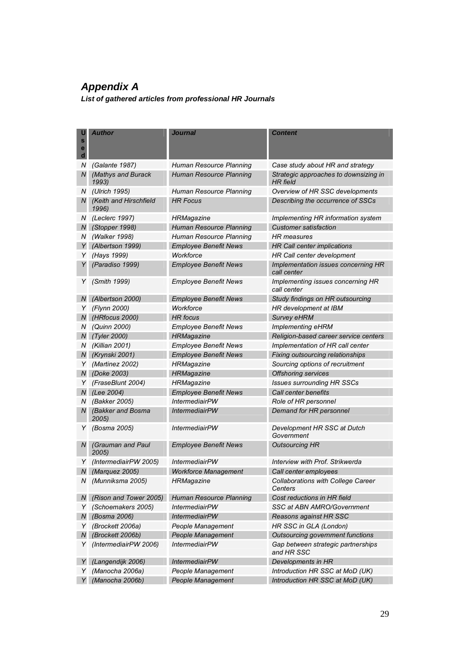# *Appendix A*

*List of gathered articles from professional HR Journals* 

| u<br>$\mathbf{s}$<br>е<br>d | Author                          | <b>Journal</b>                 | <b>Content</b>                                           |
|-----------------------------|---------------------------------|--------------------------------|----------------------------------------------------------|
| Ν                           | (Galante 1987)                  | Human Resource Planning        | Case study about HR and strategy                         |
| N                           | (Mathys and Burack<br>1993)     | Human Resource Planning        | Strategic approaches to downsizing in<br><b>HR</b> field |
|                             | N (Ulrich 1995)                 | Human Resource Planning        | Overview of HR SSC developments                          |
| N                           | (Keith and Hirschfield<br>1996) | HR Focus                       | Describing the occurrence of SSCs                        |
|                             | N (Leclerc 1997)                | HRMagazine                     | Implementing HR information system                       |
| N.                          | (Stopper 1998)                  | Human Resource Planning        | <b>Customer satisfaction</b>                             |
| N                           | (Walker 1998)                   | Human Resource Planning        | HR measures                                              |
|                             | Y (Albertson 1999)              | <b>Employee Benefit News</b>   | HR Call center implications                              |
| Y.                          | (Hays 1999)                     | Workforce                      | HR Call center development                               |
| Y                           | (Paradiso 1999)                 | <b>Employee Benefit News</b>   | Implementation issues concerning HR<br>call center       |
|                             | Y (Smith 1999)                  | <b>Employee Benefit News</b>   | Implementing issues concerning HR<br>call center         |
| N                           | (Albertson 2000)                | <b>Employee Benefit News</b>   | Study findings on HR outsourcing                         |
|                             | Y (Flynn 2000)                  | Workforce                      | HR development at IBM                                    |
|                             | N (HRfocus 2000)                | <b>HR</b> focus                | Survey eHRM                                              |
|                             | N (Quinn 2000)                  | <b>Employee Benefit News</b>   | <b>Implementing eHRM</b>                                 |
|                             | N (Tyler 2000)                  | <b>HRMagazine</b>              | Religion-based career service centers                    |
| N                           | (Killian 2001)                  | <b>Employee Benefit News</b>   | Implementation of HR call center                         |
|                             | N (Krynski 2001)                | <b>Employee Benefit News</b>   | Fixing outsourcing relationships                         |
| Y                           | (Martinez 2002)                 | HRMagazine                     | Sourcing options of recruitment                          |
|                             | N (Doke 2003)                   | <b>HRMagazine</b>              | <b>Offshoring services</b>                               |
| Y                           | (FraseBlunt 2004)               | HRMagazine                     | Issues surrounding HR SSCs                               |
|                             | N (Lee 2004)                    | <b>Employee Benefit News</b>   | Call center benefits                                     |
| N                           | (Bakker 2005)                   | <i><b>IntermediairPW</b></i>   | Role of HR personnel                                     |
| N                           | (Bakker and Bosma<br>2005)      | <b>IntermediairPW</b>          | Demand for HR personnel                                  |
| Y                           | (Bosma 2005)                    | <i><b>IntermediairPW</b></i>   | Development HR SSC at Dutch<br>Government                |
| N                           | (Grauman and Paul<br>2005)      | <b>Employee Benefit News</b>   | <b>Outsourcing HR</b>                                    |
| Y                           | (IntermediairPW 2005)           | <i>IntermediairPW</i>          | Interview with Prof. Strikwerda                          |
| N                           | (Marquez 2005)                  | <b>Workforce Management</b>    | Call center employees                                    |
| Ν                           | (Munniksma 2005)                | <b>HRMagazine</b>              | <b>Collaborations with College Career</b><br>Centers     |
| N                           | (Rison and Tower 2005)          | <b>Human Resource Planning</b> | Cost reductions in HR field                              |
| Y                           | (Schoemakers 2005)              | <i>IntermediairPW</i>          | SSC at ABN AMRO/Government                               |
| N                           | (Bosma 2006)                    | <b>IntermediairPW</b>          | Reasons against HR SSC                                   |
| Y                           | (Brockett 2006a)                | People Management              | HR SSC in GLA (London)                                   |
| N                           | (Brockett 2006b)                | People Management              | Outsourcing government functions                         |
| Y                           | (IntermediairPW 2006)           | <b>IntermediairPW</b>          | Gap between strategic partnerships<br>and HR SSC         |
| Y                           | (Langendijk 2006)               | <b>IntermediairPW</b>          | Developments in HR                                       |
| Y                           | (Manocha 2006a)                 | People Management              | Introduction HR SSC at MoD (UK)                          |
|                             | (Manocha 2006b)                 | People Management              | Introduction HR SSC at MoD (UK)                          |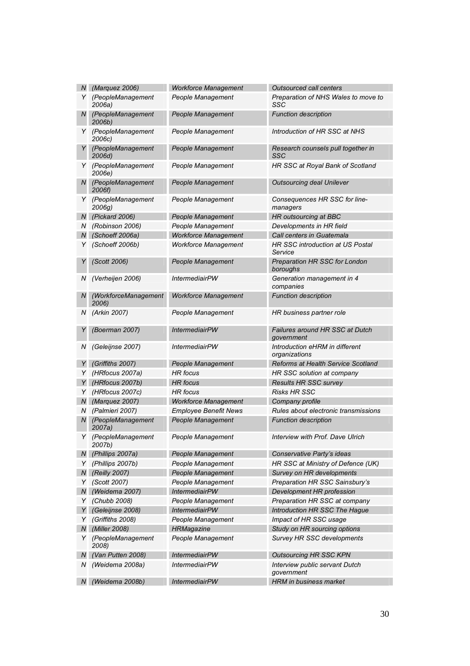|              | N (Marquez 2006)               | <b>Workforce Management</b>  | <b>Outsourced call centers</b>                       |
|--------------|--------------------------------|------------------------------|------------------------------------------------------|
| Y            | (PeopleManagement<br>2006a)    | People Management            | Preparation of NHS Wales to move to<br>SSC           |
| N            | (PeopleManagement<br>2006b)    | People Management            | <b>Function description</b>                          |
| Y.           | (PeopleManagement<br>2006c)    | People Management            | Introduction of HR SSC at NHS                        |
| Y            | (PeopleManagement<br>2006d)    | People Management            | Research counsels pull together in<br>SSC            |
|              | Y (PeopleManagement<br>2006e)  | People Management            | HR SSC at Royal Bank of Scotland                     |
| N            | (PeopleManagement<br>2006f)    | People Management            | Outsourcing deal Unilever                            |
| Y            | (PeopleManagement<br>$2006g$ ) | People Management            | Consequences HR SSC for line-<br>managers            |
|              | N (Pickard 2006)               | People Management            | HR outsourcing at BBC                                |
| N            | (Robinson 2006)                | People Management            | Developments in HR field                             |
| N            | (Schoeff 2006a)                | <b>Workforce Management</b>  | Call centers in Guatemala                            |
| Y            | (Schoeff 2006b)                | <b>Workforce Management</b>  | <b>HR SSC introduction at US Postal</b><br>Service   |
| Y            | (Scott 2006)                   | People Management            | Preparation HR SSC for London<br>boroughs            |
| Ν            | (Verheijen 2006)               | <b>IntermediairPW</b>        | Generation management in 4<br>companies              |
| N            | (WorkforceManagement<br>2006)  | <b>Workforce Management</b>  | <b>Function description</b>                          |
| N            | (Arkin 2007)                   | People Management            | HR business partner role                             |
| Y            | (Boerman 2007)                 | <b>IntermediairPW</b>        | <b>Failures around HR SSC at Dutch</b><br>government |
| N            | (Geleijnse 2007)               | <i><b>IntermediairPW</b></i> | Introduction eHRM in different<br>organizations      |
| Y            | (Griffiths 2007)               | People Management            | Reforms at Health Service Scotland                   |
| Y            | (HRfocus 2007a)                | HR focus                     | HR SSC solution at company                           |
|              | Y (HRfocus 2007b)              | <b>HR</b> focus              | <b>Results HR SSC survey</b>                         |
|              | Y (HRfocus 2007c)              | HR focus                     | <b>Risks HR SSC</b>                                  |
|              | N (Marquez 2007)               | <b>Workforce Management</b>  | Company profile                                      |
|              | N (Palmieri 2007)              | <b>Employee Benefit News</b> | Rules about electronic transmissions                 |
| $\mathcal N$ | (PeopleManagement<br>2007a)    | People Management            | <b>Function description</b>                          |
|              | Y (PeopleManagement<br>2007b)  | People Management            | Interview with Prof. Dave Ulrich                     |
| N            | (Phillips 2007a)               | People Management            | Conservative Party's ideas                           |
| Y            | (Phillips 2007b)               | People Management            | HR SSC at Ministry of Defence (UK)                   |
| N            | (Reilly 2007)                  | People Management            | Survey on HR developments                            |
| Y            | (Scott 2007)                   | People Management            | Preparation HR SSC Sainsbury's                       |
| N            | (Weidema 2007)                 | <b>IntermediairPW</b>        | Development HR profession                            |
| Y            | (Chubb 2008)                   | People Management            | Preparation HR SSC at company                        |
| Y            | (Geleijnse 2008)               | <b>IntermediairPW</b>        | Introduction HR SSC The Haque                        |
| Y            | (Griffiths 2008)               | People Management            | Impact of HR SSC usage                               |
| $N_{\perp}$  | (Miller 2008)                  | <b>HRMagazine</b>            | Study on HR sourcing options                         |
| Y            | (PeopleManagement<br>2008)     | People Management            | Survey HR SSC developments                           |
| N.           | (Van Putten 2008)              | <b>IntermediairPW</b>        | <b>Outsourcing HR SSC KPN</b>                        |
| Ν            | (Weidema 2008a)                | <b>IntermediairPW</b>        | Interview public servant Dutch<br>government         |
| N            | (Weidema 2008b)                | <b>IntermediairPW</b>        | HRM in business market                               |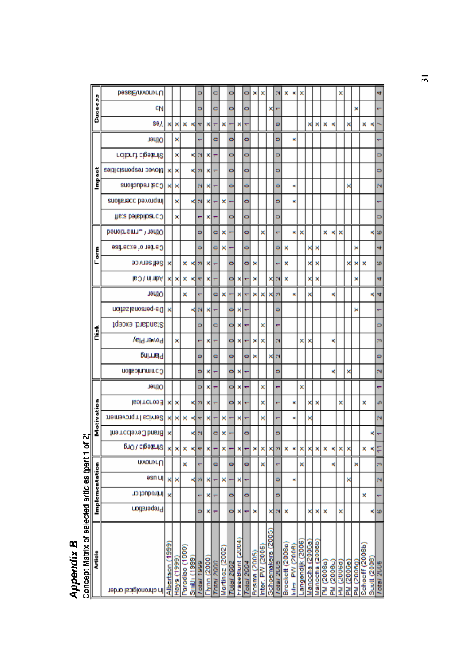# **Appendix B**<br>Concept Matrix of selected articles (part 1 of 2)

|                | <b>DessE\nvomrU</b>            |                 |               |                |                    | ۰          |            | o                |                | ۰                 |                  | ۰          | ×            | ×               |                           | N         | ×               | ×               | ×               |                 |                 |                   |            | ×                |            |            |                                       |                    |
|----------------|--------------------------------|-----------------|---------------|----------------|--------------------|------------|------------|------------------|----------------|-------------------|------------------|------------|--------------|-----------------|---------------------------|-----------|-----------------|-----------------|-----------------|-----------------|-----------------|-------------------|------------|------------------|------------|------------|---------------------------------------|--------------------|
| 559900         | CN                             |                 |               |                |                    | ۰          |            | ō                |                | ۰                 |                  | ۰          |              |                 | ×                         | ۳         |                 |                 |                 |                 |                 |                   |            |                  |            | ×          |                                       |                    |
|                | se),                           | ×               | ×             | ×              | ×                  | ۳          | ×          | π                | ×              |                   | ×                | ٣          |              |                 |                           | ۰         |                 |                 |                 | ×               | ×               | ×                 | ĸ          |                  | ×          |            | ×                                     | ĸ                  |
|                | Other                          |                 | ×             |                |                    |            |            | e                |                | ۰                 |                  | ۰          |              |                 |                           | ۰         |                 | ×               |                 |                 |                 |                   |            |                  |            |            |                                       |                    |
|                | rcibrut cigainis               |                 | ×             |                | ×                  | 24         | ×          |                  |                | o                 |                  | o          |              |                 |                           | ۰         |                 |                 |                 |                 |                 |                   |            |                  |            |            |                                       |                    |
|                | Movec responsialties           | ×               | ×             |                | ×                  | m          | ×          |                  |                | ۰                 |                  | ۰          |              |                 |                           | ö         |                 |                 |                 |                 |                 |                   |            |                  |            |            |                                       |                    |
| Impact         | Cast reductions                | ×               | ×             |                |                    | N          | ×          |                  |                | ō                 |                  | ō          |              |                 |                           | ۰         |                 | ×               |                 |                 |                 |                   |            |                  | ×          |            |                                       |                    |
|                | enoilenecc beyong mil          |                 | ×             |                | к                  | N          | ×          |                  | ×              |                   |                  | ö          |              |                 |                           | 6         |                 | ×               |                 |                 |                 |                   |            |                  |            |            |                                       |                    |
|                | Consolidated staff             |                 | ×             |                |                    | ٣          | ×          | ۳                |                | ۰                 |                  | ۰          |              |                 |                           | ۰         |                 |                 |                 |                 |                 |                   |            |                  |            |            |                                       |                    |
|                | Denoimemnu <sup>n</sup> herito |                 |               |                |                    | ۰          |            | c                | ×              |                   |                  | 0          |              | ×               |                           | ۳         |                 | ×               | ×               |                 |                 | ×к                |            | ×                |            |            |                                       |                    |
| erne)          | Carter of experise             |                 |               |                |                    | ۰          |            | e                | ×              |                   |                  | ÷          |              |                 |                           | ۰         | ×               |                 |                 | ×               | ×               |                   |            |                  |            | ×          |                                       |                    |
|                | Self service                   | ×               |               |                | ×к                 | 59         | ×          |                  |                | ۰                 |                  | ۰          | ×            |                 |                           |           | ×               |                 |                 | ×               | ×               |                   |            |                  | ×          | ×          | ×                                     | ä                  |
|                | Admin / Cal                    | ×               | ×             | ×              | ×                  | ≂          | ×          |                  |                | ۰                 | ×                |            | ×            |                 | ×                         | N         | ×               |                 |                 | ×               | ×               |                   |            |                  |            | ×          |                                       |                    |
|                | Ofher                          |                 |               | ×              |                    | ٣          |            | c                | ×              |                   | ×                |            | ×            | ×               | ×                         | m         |                 | ×               |                 | ×               |                 |                   | ĸ          |                  |            |            |                                       |                    |
|                | personal zeipr                 | ×               |               |                | ×                  | N          | ×          |                  |                | ۰                 | ×                |            |              |                 |                           | ٥         |                 |                 |                 |                 |                 |                   |            |                  |            | ×          |                                       |                    |
|                | Standard, except               |                 |               |                |                    | ⋼          |            | o                |                | ۰                 | ×                |            |              | ×               |                           | ۳         |                 |                 |                 |                 |                 |                   |            |                  |            |            |                                       |                    |
| Ď              | Pover Play                     |                 | ×             |                |                    |            | ×          | π                |                | ۰                 | ×                |            | ×            | ×               |                           | N         |                 |                 | ×               | ×               |                 |                   | ×          |                  |            |            |                                       | p                  |
|                | Plaring                        |                 |               |                |                    | ۰          |            | c                |                | o                 |                  | ۰          | ×            |                 | ×                         | N         |                 |                 |                 |                 |                 |                   |            |                  |            |            |                                       | ¢                  |
|                | Communication                  |                 |               |                |                    | ۰          | ×          |                  |                | ۰                 | ×                |            |              |                 |                           | ۵         |                 |                 |                 |                 |                 |                   | к          |                  | ×          |            |                                       |                    |
|                | Other                          |                 |               |                |                    | ۰          | ×          |                  |                | ۰                 | ×                |            |              | ×               |                           | ۳         |                 |                 | ×               |                 |                 |                   |            |                  |            |            |                                       |                    |
|                | Econprice                      | ×               | ×             |                |                    | m          |            |                  |                | 0                 | ×                |            |              | ×               |                           | ٣         |                 | ×               |                 | ×               | ×               |                   |            | ×                |            |            | ×                                     |                    |
| Motivation     | memavorqmillecivne8            | ×               | ×             | ×              | ×                  | ٠          | ×          |                  | ×              |                   | ×                |            |              | ×               |                           | ۳         |                 | ×               |                 | ×               |                 |                   |            |                  |            |            |                                       |                    |
|                | hia Tcclava J bristol          | ×               |               |                | ×                  | N          |            | e                | ×              |                   |                  | ۰          |              |                 |                           | ۵         |                 |                 |                 |                 |                 |                   |            |                  |            |            |                                       |                    |
|                | <b>Buo / cipetails</b>         | ×               | ×             | ×              | ×                  | ٠          | ×          |                  | ×              |                   | ×                |            | ×            | ×               | ×                         | m         | ×               | ×               | ×               | ×               | ×               | ×                 | ×          | ×                | ×          |            | ×                                     | ۹q<br>×            |
|                | <b>u</b> vousLO                |                 |               | ×              |                    |            |            | c                |                | 9                 |                  | 0          |              | ×               |                           | ۳         |                 |                 | ×               |                 |                 |                   | ×          |                  |            | ×          |                                       | P                  |
|                | əsn ul                         | ×               | ×             |                | К                  | ń          | ×          |                  | ×              |                   | ×                |            |              |                 |                           | ٥         |                 | ×               |                 |                 |                 |                   |            |                  | ×          |            |                                       | ř                  |
| Implementation | <b>Introduct cr</b>            | ×               |               |                |                    |            | ×          |                  |                | ۰                 |                  | ۰          |              |                 |                           | ۰         |                 |                 |                 |                 |                 |                   |            |                  |            |            | ×                                     |                    |
|                | Preperation                    |                 |               |                |                    | ۰          | ×          |                  |                | ۰                 | ×                |            | ×            |                 | ×                         |           | ×               |                 |                 | ×               | ×               | ×                 |            | ×                |            |            |                                       | ×<br>ä             |
|                |                                |                 |               |                |                    |            |            |                  |                |                   |                  |            |              |                 |                           |           |                 |                 |                 |                 |                 |                   |            |                  |            |            |                                       |                    |
| <b>Article</b> | In chronolgical arder          | Albertson (1999 | (6661.) s/iBH | Paradiso (1999 | <b>Smith (1999</b> | lotal 1999 | hynn (2000 | <b>CORN AGEN</b> | Martincz (2002 | <b>Folal 2002</b> | -raseBlunt (2004 | Fotal 2004 | Bosma (2005) | Inter. PW (2005 | <b>Bchoemakers (2005)</b> | ctar zuus | Brockett (2006a | liter PW (2008) | angendijk (2006 | Manocha (2000a) | Manocha (2006b) | <b>PM (2006a)</b> | PM (2006c) | <b>PRODED MH</b> | PM (2006c) | PM (20060) | Schooff (2006b<br><b>Scott (2006)</b> | <b>SCALE SHOW:</b> |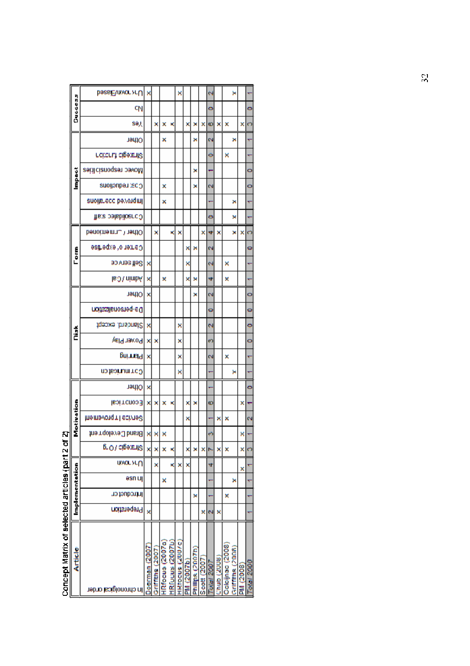|                                                                                                                      |                | basaichnvor >rU       | ×             |                    |                 |                 | ×                |                   |                  |             | N         |              |                 | ×                |           |            |
|----------------------------------------------------------------------------------------------------------------------|----------------|-----------------------|---------------|--------------------|-----------------|-----------------|------------------|-------------------|------------------|-------------|-----------|--------------|-----------------|------------------|-----------|------------|
|                                                                                                                      | Succes         | cŊ                    |               |                    |                 |                 |                  |                   |                  |             | 0         |              |                 |                  |           | ۰          |
|                                                                                                                      |                | sә),                  |               | ×                  | ×               | ĸ               |                  | ×                 | ×                | ×           | Ф         | ×            | ×               |                  | ×         | Θ          |
|                                                                                                                      |                | Ofher                 |               |                    | ×               |                 |                  |                   | ×                |             | N         |              |                 | ×                |           |            |
|                                                                                                                      |                | rcitent cigatalis     |               |                    |                 |                 |                  |                   |                  |             | o         |              | ×               |                  |           |            |
|                                                                                                                      |                | bovec responsialities |               |                    |                 |                 |                  |                   | ×                |             |           |              |                 |                  |           | o          |
|                                                                                                                      | Ğ              | Cos: Leqnopous        |               |                    | ×               |                 |                  |                   | ×                |             | Ν         |              |                 |                  |           | o          |
|                                                                                                                      |                | suojje.ecc pexoldulj  |               |                    | ×               |                 |                  |                   |                  |             |           |              |                 | ×                |           | ۳          |
|                                                                                                                      |                | Gonsolidate: staff    |               |                    |                 |                 |                  |                   |                  |             | 0         |              |                 | ×                |           |            |
|                                                                                                                      |                | Denoime mature had    |               | ×                  |                 | ×               | ×                |                   |                  | ×           | ₩         | ×            |                 | ×                | ×         | ຕ          |
|                                                                                                                      | i<br>Core      | Camerio faxperise     |               |                    |                 |                 |                  | ×                 | ×                |             | N         |              |                 |                  |           | 0          |
|                                                                                                                      |                | Self service          | ×             |                    |                 |                 |                  | ×                 |                  |             | N         |              | ×               |                  |           |            |
|                                                                                                                      |                | Admin / Cal           | ×             |                    | ×               |                 |                  | ×                 | ×                |             | ₩         |              | ×               |                  |           |            |
|                                                                                                                      |                | Ofher                 | ×             |                    |                 |                 |                  |                   | ×                |             | Ν         |              |                 |                  |           | o          |
|                                                                                                                      |                | De-personalisztjon    |               |                    |                 |                 |                  |                   |                  |             | 0         |              |                 |                  |           | ۰          |
|                                                                                                                      |                | fgeoxe .bhsbnat2      | ×             |                    |                 |                 | ×                |                   |                  |             | N         |              |                 |                  |           | ۰          |
|                                                                                                                      | Ď              | Power Play            | ×             | ×                  |                 |                 | ×                |                   |                  |             | თ         |              |                 |                  |           | 0          |
|                                                                                                                      |                | primel                | ×             |                    |                 |                 | ×                |                   |                  |             | Ν         |              | ×               |                  |           | τ          |
|                                                                                                                      |                | Comunication          |               |                    |                 |                 | ×                |                   |                  |             |           |              |                 | ×                |           |            |
|                                                                                                                      |                | Ofher                 | ×             |                    |                 |                 |                  |                   |                  |             |           |              |                 |                  |           | ۰          |
|                                                                                                                      |                | <b>IsoincnopE</b>     | ×             | ×                  | ×               | ×               |                  | ×                 | ×                |             | စ         |              |                 |                  | ×         |            |
|                                                                                                                      | Motivation     | memavorqini edivre8   |               |                    |                 |                 |                  | ×                 |                  |             |           | ×            | ×               |                  |           | ٨          |
| Ĵ                                                                                                                    |                | Brand Cevelop rent    | ×             | ×                  | ×               |                 |                  |                   |                  |             | ო         |              |                 |                  | ×         |            |
|                                                                                                                      |                | <b>B.O/CIBORIIS</b>   | ×             | ×                  | ×               | κ               |                  | ×                 | ×                | ×Þ          |           | ×            | ×               |                  | ×l        | O          |
|                                                                                                                      |                | <b>widdoun</b>        |               | ×                  |                 | ×               | ×                | ×                 |                  |             | 4         |              |                 |                  | ×         |            |
|                                                                                                                      |                | əsn uj                |               |                    | ×               |                 |                  |                   |                  |             |           |              |                 | ×                |           | ۳          |
|                                                                                                                      | Implementation | <b>Introduct on</b>   |               |                    |                 |                 |                  |                   | ×                |             |           |              | ×               |                  |           |            |
|                                                                                                                      |                | <b>Breperation</b>    | ×             |                    |                 |                 |                  |                   |                  | ×           | Ν         | ×            |                 |                  |           |            |
|                                                                                                                      |                |                       |               |                    |                 |                 |                  |                   |                  |             |           |              |                 |                  |           |            |
|                                                                                                                      |                |                       |               |                    |                 |                 |                  |                   |                  |             |           |              |                 |                  |           |            |
|                                                                                                                      | Article        |                       | Docrman (2007 | $3$ riffiths (2007 | HRfocus (2007a) | HRIDUUS (2007b) | Hittocus (2007C) |                   | Phillips (2007b) |             |           |              | Colcijnac (2008 | Griffiths (2008) |           |            |
| <u>ר</u> איינו איינו איינו איינו איינו איינו איינו איינו איינו איינו איינו איינו איינו איינו איינו איינו איינו איינו |                |                       |               |                    |                 |                 |                  | <b>PM (2007b)</b> |                  | Scott (2007 | olal 2007 | Churs) durit |                 |                  | PM (2008) | Total 2000 |
|                                                                                                                      |                | je curouojācsi cugeu  |               |                    |                 |                 |                  |                   |                  |             |           |              |                 |                  |           |            |

# Concept Matrix of selected articles (part 2 of 2)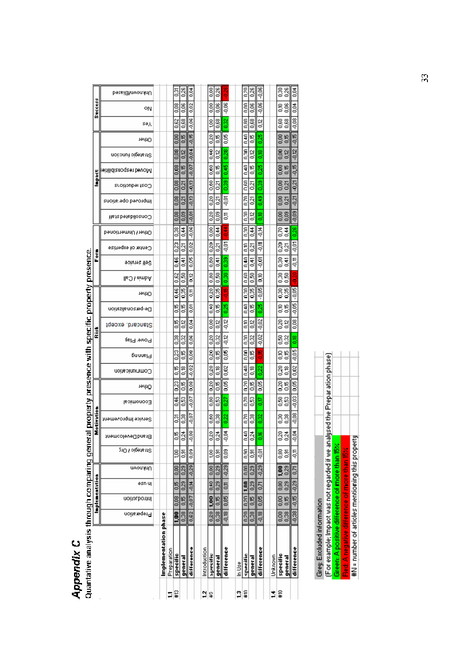|                | <b>Appendix C</b>                          |                        |                         |                |                     |                 |                  |                                                    |           |                 |                    |                           |                    |                    |         |                 |                  |                     |                     |                         |                     |                 |                                                |                            |         |               |                |  |
|----------------|--------------------------------------------|------------------------|-------------------------|----------------|---------------------|-----------------|------------------|----------------------------------------------------|-----------|-----------------|--------------------|---------------------------|--------------------|--------------------|---------|-----------------|------------------|---------------------|---------------------|-------------------------|---------------------|-----------------|------------------------------------------------|----------------------------|---------|---------------|----------------|--|
|                | Quantative analysis through comparing gene |                        |                         |                |                     |                 | ŢQ               | property presence with specific property presence. |           |                 |                    |                           |                    |                    |         |                 |                  |                     |                     |                         |                     |                 |                                                |                            |         |               |                |  |
|                |                                            |                        | Implementation          |                |                     |                 |                  | Motivation                                         |           |                 |                    |                           | ž                  |                    |         |                 |                  | Form                |                     |                         |                     | <u>inpact</u>   |                                                |                            |         | Success       |                |  |
|                |                                            | Preperation            | Introduction            | əsn uj         | Unknown             | Strategic / Org | BrandDevelooment | Service Improvement                                | Eoimonoo∃ | тейтО           | Communication      | Powe. Play<br>pnnnsl9     | Standard, except   | De-personalization | тейтО   | Admin / Call    | Self setvice     | Center of expertise | Dther / Unmertioned | <b>Gonsbldateds</b> ted | lmproved operations | Cost reductions | noitonut pigets t8<br>jeitilidiznoqzet bəvolvl | Ofher                      | səగ     | ٥N            | Unknown/Biased |  |
|                |                                            |                        |                         |                |                     |                 |                  |                                                    |           |                 |                    |                           |                    |                    |         |                 |                  |                     |                     |                         |                     |                 |                                                |                            |         |               |                |  |
|                | Implementation phase                       |                        |                         |                |                     |                 |                  |                                                    |           |                 |                    |                           |                    |                    |         |                 |                  |                     |                     |                         |                     |                 |                                                |                            |         |               |                |  |
| Ξ              | Preparation                                |                        |                         |                |                     |                 |                  |                                                    |           |                 |                    |                           |                    |                    |         |                 |                  |                     |                     |                         |                     |                 |                                                |                            |         |               |                |  |
| ¦≌             | specific                                   | ទី                     | $\frac{8}{20}$          | 50<br>0        | 8                   | g               | ę                | డ్రె                                               | 346       | $\frac{23}{2}$  | ₽<br>ප             | 83                        | 5<br>$\frac{8}{2}$ | 5                  | ۹£      | 0.62            | se<br>S          | 0.23                | 83                  | $\frac{8}{2}$           | 0,08                | 80              | $\frac{8}{2}$                                  | 8<br>$\frac{8}{20}$        | 0.62    | $\frac{8}{5}$ | ន្ទី           |  |
|                | general                                    | $\frac{8}{2}$          | <b>0,15</b>             | 0,29           | 0,29                | 53              | ಸ್ತೆ             | ៊ី                                                 | g         | 50              | °€                 | 95<br>0                   | βŠ<br>82           | 5                  | 3       | នី              | 통                | ā                   | 34                  | eoo                     | 0,21                | 8g              | $\frac{2}{5}$<br>0,15                          | $\frac{16}{20}$            | 88      | 8             | 0,26           |  |
|                | difference                                 | 0,62                   | $-0.07$                 | -0,14          | $-0.29$             | 80.0            | 8                | -0,07                                              | $-0.07$   | 8               | $-0,02$            | 0,06<br>80.0              | ga                 | 5.                 | 등       | $\frac{2}{5}$   | 0,05             | 0,02                | $-0.08$             | -0,01                   | 3.0                 | -0,13           | $-0.04$<br>$-0,07$                             | $-0,15$                    | $-0,06$ | 0,02          | 3g             |  |
|                |                                            |                        |                         |                |                     |                 |                  |                                                    |           |                 |                    |                           |                    |                    |         |                 |                  |                     |                     |                         |                     |                 |                                                |                            |         |               |                |  |
| 월≆             | Introduction                               |                        |                         |                |                     |                 |                  |                                                    |           |                 |                    |                           |                    |                    |         |                 |                  |                     |                     |                         |                     |                 |                                                |                            |         |               |                |  |
|                | specific                                   | 0.20                   | 1,00                    | 0,40           | 0,00                | ğ               | ន                | 880                                                | 880       | $\frac{20}{20}$ | $\frac{20}{2}$     | 830                       | 8<br>0.20          | 8,40               | 0,20    | $\frac{80}{20}$ | 8                | $\frac{20}{20}$     | $\frac{8}{3}$       | 83                      | 0.20                | 80              | ٥¥<br>8                                        | 0.20                       | SO.     | 8             | 8              |  |
|                | general                                    | 0.38                   | 0,15                    | 0,29           | 0,29                | 85              | ಸ್ತೆ             | 8                                                  | g         | ٣,              | g<br>S             | 50                        | g<br>0.32          | 5                  | 0,35    | នី              | ţ                | ន្ទ                 | $\frac{4}{5}$       | 80                      | ā                   | ā               | 8<br>٥E                                        | 5                          | š       | g             | 0,26           |  |
|                | difference                                 | $-0.18$ 0.85           |                         | 5              | $-0.29$             | 80              | Š.<br>P          | 0.22                                               | 53        | $\frac{1}{2}$   | 0,02               | $rac{12}{2}$<br>g<br>S    | $-0.12$            | 0,25               | 띡<br>۹  | 8<br>õ          | 880              | Ş                   | 苦宁                  | 튱                       | Ş                   | 880             | 82<br>0.45                                     | g<br>S                     | 82      | $-0.06$       |                |  |
| $\mathbf{r}$   | se<br>Da                                   |                        |                         |                |                     |                 |                  |                                                    |           |                 |                    |                           |                    |                    |         |                 |                  |                     |                     |                         |                     |                 |                                                |                            |         |               |                |  |
| l#             | specific                                   | 0,20                   | 0.20                    | 1.00           | ΩΩ                  | õю              | ş                | ΩZΩ                                                | ΩZΩ       | δ               | ۵ŧ                 | δ<br>ξ                    | ξ                  | n4n                | ξ       | Ωğ              | $\frac{40}{2}$   | ξ                   | g                   | g                       | 0.70                | DSO             | ្ល<br>$\frac{40}{2}$                           | n 40                       | g       | ξ             | δ              |  |
|                | general                                    | 0.38                   | 0,15                    | 0,29           | 0,29                | $\frac{5}{6}$   | ಸ್ತ              | 0,38                                               | 6,53      | 5,0             | $^{8}$             | 0,15                      | 0,12<br>0,32       | 50                 | 0,35    | $\frac{50}{2}$  | हु               | ā                   | $rac{4}{5}$         | $\frac{12}{5}$          | $\overline{0}$      | $\overline{5}$  | $\frac{2}{5}$<br>$\frac{16}{5}$                | <b>9,0</b>                 | 88      | $\frac{8}{5}$ | 826            |  |
|                | difference                                 | $-0.18$                | 0,05                    | $\overline{5}$ | $-0.29$             | Ş               | ₽                | $_{0.32}^{\circ}$                                  | S         | $\frac{8}{3}$   | 0.22               | $-0.02$<br>$\frac{16}{2}$ | $-0.02$            | 0.25               | $-0.05$ | ã               | Ş                | 5                   | 芎                   | g<br>S                  | 349                 | 88              | $\frac{8}{5}$<br>0.25                          | 0.25                       | g       | $-0.06$       | $-0.06$        |  |
|                |                                            |                        |                         |                |                     |                 |                  |                                                    |           |                 |                    |                           |                    |                    |         |                 |                  |                     |                     |                         |                     |                 |                                                |                            |         |               |                |  |
| ÷              | Unknown                                    |                        |                         |                |                     |                 |                  |                                                    |           |                 |                    |                           |                    |                    |         |                 |                  |                     |                     |                         |                     |                 |                                                |                            |         |               |                |  |
| $\frac{6}{10}$ | specific<br>general                        | $\frac{8}{6}$<br>0.001 | 0,001<br>$\frac{6}{5}$  | 0,29<br>0.00   | 0,29<br><b>DO</b> 1 | ន្ទិន្ទ         | ৪,মৃ             | នីនី                                               | ន្ទីន្ទី  | ಕ್ಷ್ಮಿ          | $\frac{8}{6}$<br>8 | 용용                        | និទី<br>ន្ទីខ្ល    | ៖៖                 | នីនី    | ន្ទីន           | នូ <del>ទ្</del> | ន្ទឹក្នុ            | 昌善                  | $\frac{8}{5}$<br>8      | ទី<br>0,21          | ខ្លីន           | 8<br>ន្ទី<br>ទី                                | 8<br>0,15<br>$\frac{2}{5}$ | ន្ទះ    | ៖៖            | ន្ទី           |  |
|                | difference                                 |                        | $-0.38$ $-0.15$ $-0.29$ |                | $\overline{6}$      | ë               | É,<br>T          | $-0.08$                                            | $-0.03$   | $\frac{8}{3}$   | $\frac{2}{3}$      | $-0.05$                   | $\frac{8}{5}$<br>8 | $-0.05$            | $-0.05$ |                 | ۵,               | $-0.07$             | 0.26                | $-0.09$                 | $-0.21$             | $-0.21$         | $-0,12$<br>$-0.15$                             | $\frac{1}{2}$              | $-0.08$ | g.            | $\frac{3}{2}$  |  |
|                |                                            |                        |                         |                |                     |                 |                  |                                                    |           |                 |                    |                           |                    |                    |         |                 |                  |                     |                     |                         |                     |                 |                                                |                            |         |               |                |  |

|                            | (For example; impact was not regarded if we analysed the Preparation phase) | Green: A positive difference of more than 15% | Red: A negative difference of more than 15% | #N = number of articles mentioning this property |
|----------------------------|-----------------------------------------------------------------------------|-----------------------------------------------|---------------------------------------------|--------------------------------------------------|
| Grey: Excluded information |                                                                             |                                               |                                             |                                                  |

 $\mathbb{R}^2$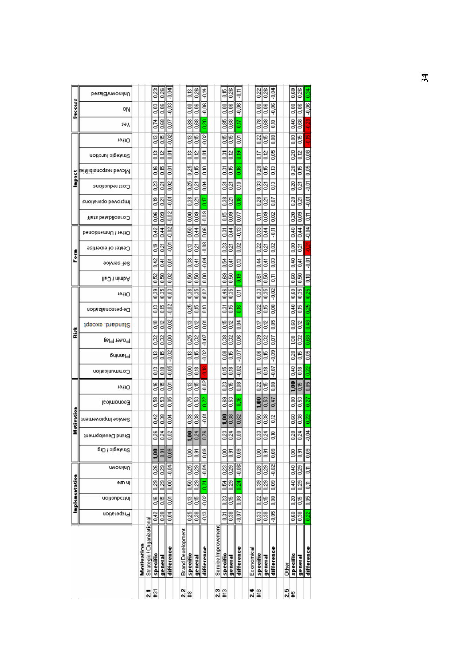|                            |                |               | Implementation                |                |                  |                   | Hotáratio           |                |                     |                           |                      | ž                |                   |                |                     | Į              |                     |                    |                          |                     | š               |                         |                 |           |               | Success       |                |
|----------------------------|----------------|---------------|-------------------------------|----------------|------------------|-------------------|---------------------|----------------|---------------------|---------------------------|----------------------|------------------|-------------------|----------------|---------------------|----------------|---------------------|--------------------|--------------------------|---------------------|-----------------|-------------------------|-----------------|-----------|---------------|---------------|----------------|
|                            | Preperation    | Introduction  | əs⊓u∣                         | Uwoninu        | δια γρίδει γ πλ  | Brand Development | Service Improvement | Eoimonoo∃      | 1911 O              | pninnsl9<br>Communication | Power Play           | Standard, except | noifssienozieg-eO | 1911 O         | <b>Moninit Call</b> | Seli service   | Genter of expertise | DenoisnemnU hastiO | <b>Heta betabiloaroO</b> | Improved operations | Cost reductions | birilidiancqaen bevolvl | Adagic furction | 1911 O    | sәд           | ٥N            | Unknown/Bissed |
| Motivation                 |                |               |                               |                |                  |                   |                     |                |                     |                           |                      |                  |                   |                |                     |                |                     |                    |                          |                     |                 |                         |                 |           |               |               |                |
| Strategic / Organizational |                |               |                               |                |                  |                   |                     |                |                     |                           |                      |                  |                   |                |                     |                |                     |                    |                          |                     |                 |                         |                 |           |               |               |                |
| <b>Specific</b>            | $rac{42}{5}$   | $rac{1}{25}$  | $\frac{23}{5}$                | 0,26           | <b>SG1</b>       | 82                | 0.42                | 89.0           | ő                   | g                         | $\frac{32}{5}$<br>S3 | 8                | SS                | $\frac{33}{2}$ | 0.52                | 0.42           | ŝ                   | 0.42               | g<br>S                   | g<br>S              | 33              | 8.                      | g<br>S          | g         | $\frac{1}{2}$ | 8             | 33             |
| general                    | 0.38           | 0.15          | $\overline{0.29}$             | $\frac{23}{2}$ | $\frac{5}{2}$    | Š                 | $\frac{8}{2}$       | $\frac{63}{2}$ | 5                   | 8                         | $\frac{32}{5}$<br>50 | $^{0.12}$        | 50                | 0.35           | 88                  | $\frac{4}{5}$  | $\overline{0.21}$   | $rac{4}{5}$        | $\frac{8}{5}$            | ā                   | $\frac{27}{2}$  | S)                      | $\frac{2}{5}$   | S         | 880           | $\frac{8}{2}$ | $\frac{8}{26}$ |
| difference                 | 0,04           | ē,            | 0,00                          | $-0.04$        | $\frac{0.03}{2}$ | 0,02              | $\frac{3}{20}$      | 80 O           | ā                   | $-0.02$<br>$-0.05$        | $\frac{8}{5}$        | $-0.02$          | $-0.02$           | 0,03           | ğ                   | ğ              | Ş                   | $-0.02$            | $-0.02$                  | ş                   | g               | š                       | ē,              | $-0.02$   | S             | $-0.03$       | $\frac{3}{5}$  |
| Brand Development          |                |               |                               |                |                  |                   |                     |                |                     |                           |                      |                  |                   |                |                     |                |                     |                    |                          |                     |                 |                         |                 |           |               |               |                |
| <b>Specific</b>            | 83             | g             | 88                            | 0,25           | g                | Ş                 | 88                  | Ю<br>6         | g                   | 8                         | 0<br>g               | g<br>R,          | 83                | 8<br>0         | 8                   | $\frac{38}{2}$ | g                   | 8                  | 8                        | 8                   | 0.25            | g,<br>o                 | g               | g         | 88            | $\frac{8}{6}$ | gl             |
| general                    | 0,38           | 5             | 0,29                          | 0.29           | 3                | $\frac{3}{2}$     | $^{0.38}$           | Ø.<br>6        | 5                   | g.                        | ğ<br>5               | βŠ               | 5                 | 83             | នី                  | 동              | ន្ទ                 | 344                | g                        | ā                   | នូ              | 5                       | ė               | 5         | 88            | g<br>S        | $\frac{28}{5}$ |
| difference                 | <b>A.B.</b>    | ΘÓ            | $\overline{\tilde{\epsilon}}$ | $-0.04$        | eo o             | ē                 | Ş                   | ec u           | edir.               | colo-<br>ă.               | 500                  | Ę                | ۵Ĩ,               | 0.N            | ຮູ້                 | a<br>F         | e<br>F              | e<br>C             | eo'u                     | 6                   | 흔<br>C          | Ę                       | ξ               | e)<br>P   | δ             | -n.ok         | 芎              |
| Service Improvement        |                |               |                               |                |                  |                   |                     |                |                     |                           |                      |                  |                   |                |                     |                |                     |                    |                          |                     |                 |                         |                 |           |               |               |                |
| specific                   | š              | 0.23          | <b>I</b>                      | 0.23           | Ş                | ğ                 | $\frac{6}{100}$     | B,<br>6        | 83                  | 5                         | 88<br>8              | 50               | ā                 | 0.46           | 89                  | 53             | $\frac{23}{2}$      | ā                  | 50                       | 88                  | ៊ូ              | ā                       | ៊               | 50        | 88            | ៊ី            | 5              |
| general                    | $\frac{38}{5}$ | 55            | $\frac{23}{5}$                | 0,29           | $\frac{5}{6}$    | Š                 | 0,38                | $\frac{53}{2}$ | 50                  | g<br>S                    | $\frac{32}{2}$<br>5  | β,               | 5                 | $\frac{35}{2}$ | ន្ទី                | š              | ā                   | $rac{4}{5}$        | 80                       | ន្ទ                 | 5               | <b>830</b>              | 일<br>이          | 5         | 880           | <b>80.0</b>   | 83             |
| difference                 | $\frac{1}{2}$  | 80            | $\frac{34}{2}$                | $rac{8}{2}$    | g                | Š                 | 0,62                | g<br>S         | 80.0                | $-0.07$<br>$-0.02$        | 8g                   | 3<br>O           | $\frac{8}{2}$     | 5              | ទី                  | S3             | 0.02                | $\frac{2}{9}$      | $\overline{0.07}$        | g                   | 8               | 8                       | g               | š         | 50            | $-0.06$       | ë              |
| Economical                 |                |               |                               |                |                  |                   |                     |                |                     |                           |                      |                  |                   |                |                     |                |                     |                    |                          |                     |                 |                         |                 |           |               |               |                |
| Specific                   | Z              | 0.22          | 0.39                          | 0,28           | g                | $\frac{33}{2}$    | $\frac{50}{20}$     | ŝ              | 022                 | ā                         | 6<br>$\frac{8}{5}$   | S<br>ద్          | 0.22              | $^{33}$        | g                   | $\frac{4}{3}$  | 0.22                | $\frac{33}{2}$     | 5T                       | $^{8}$              | 83              | g<br>o                  | ã               | $\approx$ | 0.78          | $\frac{8}{6}$ | $^{22}$        |
| general                    | 38             | 50            | 0,29                          | 0,29           | ē,               | 0.24              | 88                  | ន<br>0         | 5                   | β.                        | d<br>5               | βğ<br>8          | 5                 | 8              | ğ                   | 동              | ğ                   | 종<br>이             | g                        | នូ                  | ន្ទ             | ₽<br>8                  | 용<br>이          | 50        | 88            | $\frac{8}{5}$ | 82,0           |
| difference                 | $rac{6}{5}$    | 80.0          | g                             | $rac{2}{3}$    | ទី               | ă                 | βĝ                  | 0.47           | š                   | 80.05<br>$-0.07$          | So                   | š                | 80°               | $\frac{2}{3}$  | 통                   | g              | g                   | ë                  | 92                       | š                   | g<br>S          | g                       | <u>g</u>        | g         | š             | $-0.06$       | 흥              |
| <b>Other</b>               |                |               |                               |                |                  |                   |                     |                |                     |                           |                      |                  |                   |                |                     |                |                     |                    |                          |                     |                 |                         |                 |           |               |               |                |
| specific                   | 0,60           | 0.20          | 0,40                          | 0,40           | ğ                | 0,20              | 88                  | g<br>6         | $\ddot{\mathbf{s}}$ | 몽<br>후                    | ğ<br>Į               | 8                | 몽<br>증            | 8,60           | g                   | 몽<br>아         | g                   | $\frac{9}{2}$      | Z                        | Į                   | 8               | 0.20                    | 8               | ខ្ញី      | ž             | 8,00          | 8              |
| general                    | $\frac{38}{2}$ | 0,15          | $\frac{23}{5}$                | 0,29           | $\frac{5}{2}$    | Š                 | $\frac{8}{2}$       | Ø,<br>6        | 5                   | g<br>S                    | 82<br>S              | ã                | 5                 | 83             | 8                   | š              | ā                   | 341                | g                        | នូ                  | ğ               | 86<br>0.                | 웡<br>이          | 5         | 880           | 8<br>0.06     | 83             |
| difference                 | 0.22           | $\frac{1}{2}$ | 0,11                          | $\frac{1}{2}$  | $\frac{8}{5}$    | ÷<br>Ş            | 0.22                | c              | 0.85                | 0.22                      | 88<br>80             | 948              | 0.25              | 0.25           | ã                   | $\frac{5}{9}$  |                     | क<br>इ             | 5                        | $rac{5}{2}$         | $\frac{5}{2}$   | 0.05                    | $\frac{8}{2}$   | Ļ.        |               | $-0.06$       | ្លឹ            |
|                            |                |               |                               |                |                  |                   |                     |                |                     |                           |                      |                  |                   |                |                     |                |                     |                    |                          |                     |                 |                         |                 |           |               |               |                |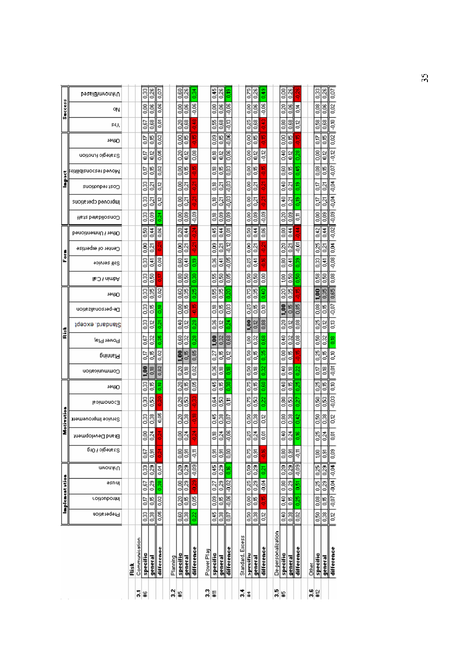|                |                                       |      | 5             | ¥          |                        |                  |          | 있#             |                       |               | 3          | l#              |                |                    | $\frac{1}{2}$    | $\ddagger$            |                |                | 3.5                | ¥                   |                 |                  |       | 21<br>21           |                     |                        |
|----------------|---------------------------------------|------|---------------|------------|------------------------|------------------|----------|----------------|-----------------------|---------------|------------|-----------------|----------------|--------------------|------------------|-----------------------|----------------|----------------|--------------------|---------------------|-----------------|------------------|-------|--------------------|---------------------|------------------------|
|                |                                       | Risk | Communication | specific   | general                | difference       | Planning | specific       | general               | difference    | Power Play | specific        | general        | difference         | Standard, Excess | specific              | general        | difference     | De-personalization | specific            | <u>general</u>  | difference       | Other | specific           | general             | difference             |
|                | Preperadou                            |      |               | 83         | 88                     | 0,05             |          | 80             | 83                    | 0.22          |            | \$              | 83             | B                  |                  | 0.50                  | 0.38           | 0,12           |                    | θŚ                  | $\frac{38}{2}$  | $\approx$        |       | 8                  | 83                  | 0,12                   |
| Implementation | Introduction                          |      |               | S)         | 0,15                   | 0,02             |          | $\frac{8}{20}$ | 5                     | 0.05          |            | $\frac{80}{20}$ | <b>S</b>       | $-0.06$            |                  | 0.00                  | $^{0.15}$      | 5              |                    | 0,40                | 8               | 0.25             |       | $\frac{8}{5}$      | $\frac{16}{2}$      |                        |
|                | əsnuj                                 |      |               | 0.67       | 0,29                   | 0.38             |          | 0.00           | 820                   |               |            | 0,27            | 0,29           | $-0.02$            |                  | 0.25                  | $\frac{23}{5}$ | $\frac{3}{2}$  |                    | $\frac{80}{2}$      | 0.29            | 0.51             |       | 0,25               | $\overline{0.29}$   | $  1000 - 1000 - 1000$ |
|                | пурами                                |      |               | 0.33       | 33                     | 0,04             |          | 0.20           | 0.29                  | $-0.09$       |            | 뜧               | $\frac{23}{5}$ | Se<br>S            |                  | 0,50                  | 33             | 0.21           |                    | 0,20                | $\frac{23}{2}$  | $\frac{1}{2}$    |       | 0,25               | 0.29                |                        |
|                | Stategic / Org                        |      |               | S0         | 3                      | ă                |          | 8              | 5                     | $\frac{1}{2}$ |            | 53              | 53             | ß                  |                  | DZ0                   | 53             | ă              |                    | 88                  | 3               | 5                |       | g                  | $\frac{5}{2}$       | <b>eo:0</b>            |
|                | Brand Development                     |      |               | g          | 0.24                   |                  |          | g              | $\frac{34}{2}$        |               |            | g<br>S          | 0.24           | Ş                  |                  | 83                    | $\frac{3}{2}$  | ğ              |                    | 940                 | $\frac{34}{2}$  | ge<br>G          |       | 83                 | $\frac{34}{2}$      | ē,                     |
| Motivatio      | Service Improvement                   |      |               | 8          | 88                     | 0,05             |          | 8              | 8                     |               |            | ٩£              | $\frac{8}{5}$  | ē                  |                  | 8,0                   | $\frac{38}{2}$ | 8              |                    | $\frac{80}{20}$     | $\frac{8}{5}$   | $\frac{2}{5}$    |       | 0.50               | 8<br>o              | 8                      |
|                | <b>E</b> poimonoc∃                    |      |               | 0,33       | 0.53                   |                  |          | g<br>d         | Ø,<br>ර               |               |            | Z6              | g              | ā                  |                  | CSO                   | 8              | 0.22           |                    | 880                 | g               | 0.27             |       | 0.50               | B<br>6              | $-0.03$                |
|                | тейзО                                 |      |               | 0.33       | 0.15                   | 8,00             |          | 8              | 5                     | $\frac{8}{2}$ |            | 똥<br>증          | 5              | 8                  |                  | 0,75                  | <b>Si</b>      | 880            |                    | $\frac{9}{2}$       | S.              | 830              |       | 826                | $\frac{16}{2}$      | 8                      |
|                | Communication                         |      |               | 1,00       | $\frac{8}{5}$          | 0,82             |          | g              | g<br>S                | $\frac{2}{3}$ |            | 8               | g<br>S         | ទី                 |                  | 8                     | g<br>S         | 82             |                    | S <sub>3</sub>      | Ξ,              | 0.22             |       | St.o               | ≌                   | Ş                      |
|                | pninnel                               |      |               | 5          | 5,0                    | 0,02             |          | 1.00           | 0.15                  | 0,85          |            | 0.27            | ٣,             | 0.12               |                  | 0,50                  | $\frac{16}{2}$ | 0.35           |                    | $\frac{8}{2}$       | e<br>G          | ۴<br>٩           |       | 0,25               | $\frac{16}{5}$      | g.                     |
|                | Power Plat                            |      |               | 0.67       | 0.32                   | 0.35             |          | 80             | $\frac{32}{5}$        | 82            |            | $\frac{3}{2}$   | 0,32           | 88.0               |                  | <b>SG1</b>            | 0,32           | 880            |                    | $\frac{9}{2}$       | 0.32            | $\frac{8}{5}$    |       | $\frac{6}{2}$      | 32                  | g,                     |
| ž              | Standard, except                      |      |               | 83         | $\frac{2}{5}$          | $\frac{5}{2}$    |          | $\frac{8}{3}$  | $\frac{22}{5}$        | g<br>d        |            | 8               | $\frac{2}{5}$  | $\frac{24}{2}$     |                  | 1,00                  | 0,12           | 88             |                    | 0.20                | $\frac{2}{5}$   | $\frac{8}{5}$    |       | 0,25               | 0.12                | g                      |
|                | De-personalization                    |      |               | 8          | 5                      | 8,               |          | ã              | 50                    | یبا           |            | ៊ី              | 86             | g                  |                  | 0.25                  | 50             | 8              |                    | 1.00                | 50              | 80               |       | 8g                 | 50                  | $-0.07$                |
|                | тейзО                                 |      |               | 0,33       | 0,35                   | 0,02             |          | 0.60           | 83                    | 0.25          |            | 59              | 53             | 3                  |                  | 0.75                  | 0,35           | $\frac{9}{2}$  |                    | $\frac{20}{20}$     | 880             | ç                |       | 1.00               | 0.35                | 0,65                   |
|                | <b>Pdmin / Call</b>                   |      |               | 33         | 650                    |                  |          | 80             | 150                   | 83            |            | 59              | 8,0            | 3                  |                  | 8,50                  | 8              | 8,00           |                    | 100                 | $\frac{6}{2}$   | 8                |       | 8                  | 8                   | 80.0                   |
| Š              | soivres ils8                          |      |               | 83         | $\frac{4}{5}$          | 8                |          | 880            | 뚕                     | 8             |            | 8               | ξ              | $-0.05$            |                  | 0,25                  | $\frac{4}{5}$  |                |                    | 89                  | J.              | 8                |       | 8                  | 퓩<br>6              | $rac{8}{5}$            |
|                | Center of expertise                   |      |               | 0,000      | 0,21                   |                  |          | δ              | ឆ្ន                   |               |            | 8               | ឆ្ន            | $-0.72$            |                  | $\frac{0.000}{1}$     | $\overline{6}$ |                |                    | 83                  | $\overline{2}$  | Ş                |       | 0.25               | $\overline{2}$      | $\frac{1}{2}$          |
|                | DenoisnemnU hadd                      |      |               | 8,50       | $\frac{4}{5}$          | 0,06             |          | 8              | 흥                     |               |            | 345             | ¥,             | š                  |                  | 830                   | $\frac{4}{5}$  | $\frac{8}{20}$ |                    | g                   | $\frac{4}{5}$   | ٦                |       | 0.42               | $\frac{4}{5}$       | $-0.02$                |
|                | <b>Heta betabiloanoO</b>              |      |               | 83         | $\frac{8}{5}$          | $\frac{8}{2}$    |          | c<br>0.00      | g<br>S                | $-0.09$       |            | g<br>S          | 0<br>g         | 0,09               |                  | $\frac{8}{3}$         | 0,09           | $-0.09$        |                    | ර<br>8              | $\frac{8}{2}$   | ă                |       | $\frac{8}{3}$      | 0<br>$\frac{8}{9}$  | $-0.09$                |
|                | Cost reductions<br>publoneg cberagoua |      |               | 83<br>0.33 | ā<br>$\overline{0.21}$ | $^{6,2}$<br>0.12 |          | ã<br>8         | ន្ទ<br>$\overline{0}$ |               |            | g<br>S<br>ូ     | ğ<br>Ñ,        | $-0.03$<br>$-0.03$ |                  | 8,00<br>$\frac{8}{3}$ | ā<br>0.21      |                |                    | $\frac{9}{25}$<br>Ş | ā<br>0.21       | g<br>G<br>e<br>O |       | â<br>$\frac{1}{2}$ | ្ទ<br>ন             | 등<br>우<br>ड़<br>इ      |
| ě              | <u>keitilidianocaet bevo</u> M        |      |               | S          | $\frac{16}{2}$         | 0,02             |          | g              | $\frac{8}{10}$        |               |            | °€              | 50             | $\frac{8}{2}$      |                  | 0,00                  | 50             |                |                    | 80                  | $\frac{16}{16}$ | 0.45             |       | g<br>S             | <b>B</b>            | 0.07                   |
|                | Stategic function                     |      |               | Si7        | 0.12                   | 0,05             |          | 0.20           | $\frac{2}{9}$         | $\frac{8}{5}$ |            | ៊ី              | 92             | 80,0               |                  | $\frac{8}{2}$         | $\frac{12}{5}$ | $-0.12$        |                    | $\frac{9}{5}$       | $\frac{2}{3}$   | 0.28             |       | 80                 | ö                   | $-0.12$                |
|                | тейд                                  |      |               | S          | 50                     | 0,02             |          | $\frac{6}{3}$  | 5                     |               |            | 80              | 50             | $-0.06$            |                  | $\frac{8}{6}$         | <b>g</b>       | р              |                    | $\frac{8}{3}$       | 5               | ₽                |       | ă                  | $\frac{16}{2}$<br>엎 | 0,02                   |
|                | s€V                                   |      |               | 687        | 88                     | ē,               |          | 0,20           | 88                    |               |            | 59              | 880            | ę                  |                  | 0,25                  | 880            |                |                    | 8                   | 880             | $\frac{2}{5}$    |       | 88                 | 88                  | å                      |
| Success        | ٥N                                    |      |               | 8          | 0.06                   | 0,06             |          | g              | š                     | $-0.06$       |            | 8               | g<br>S         | $-0.06$            |                  | 8,00                  | 0,06           | $-0.06$        |                    | 8                   | $\frac{8}{6}$   | 흥<br>이           |       | es<br>S            | $\frac{8}{5}$       | 0.02                   |
|                | UhknownlBiased                        |      |               | 8          | 8                      | 1                |          |                | 없                     | 蒿             |            | 墨               | 0,26           | ទី                 |                  | 0,75                  | 0,26           | 0.48           |                    | g                   | 82.0            |                  |       | $^{6.33}$          | 8                   | ļō?                    |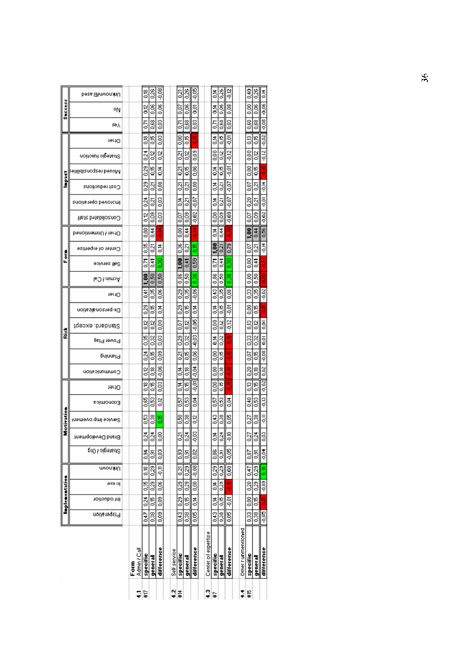|                |                             | ş                        | #17            |                |                      | 잋            |                   |                 |                        |                     | ⊈¦≆             |                   |                   | ÷                   | $\frac{16}{15}$     |                 |               |
|----------------|-----------------------------|--------------------------|----------------|----------------|----------------------|--------------|-------------------|-----------------|------------------------|---------------------|-----------------|-------------------|-------------------|---------------------|---------------------|-----------------|---------------|
|                |                             | Admin / Cal<br>E<br>Eorn | specific       | general        | difference           | Self service | specific          | general         | difference             | Center of expertise | specific        | general           | difference        | Other / unmentioned | specific            | general         | difference    |
|                | Preperadon                  |                          | 0,47           | 0.38           | $\frac{1}{20}$       |              | 943               | $\frac{8}{3}$   | 0,05                   |                     | 343             | 33                | $\frac{1}{2}$     |                     | 33                  | 0,38            | 90.0-         |
| Implementation | <b>Introduction</b>         |                          | 0.24           | <b>S</b>       | $\frac{8}{20}$       |              | 33                | 55              | <sub>51</sub><br>이후    |                     | Š               | <b>D</b>          | $rac{1}{2}$       |                     | 8                   | 50              | 9<br>P        |
|                | əsn uj                      |                          | 83             | $^{0.29}$      | $\frac{8}{2}$        |              | $\frac{23}{5}$    | 0.29            | 89                     |                     | 총<br>증          | $^{23}$           | 99                |                     | $\frac{20}{3}$      | $\frac{23}{5}$  | $-0.03$ 0.18  |
|                | ημμονυ                      |                          | $\frac{8}{5}$  | $\frac{23}{2}$ | ۳, ۹                 |              | $\frac{5}{2}$     | 0,29            | $rac{8}{2}$            |                     | 0.29            | 0,23              | $\overline{0.00}$ |                     | 0.47                | 0,29            |               |
|                | Stiategic POrg              |                          | $\frac{4}{3}$  | 53             | 88                   |              | 33                | š               | 0.02                   |                     | 88              | ē,                | 90.05             |                     | $\frac{8}{2}$       | 53              | toc.          |
|                | Brand Development           |                          | 0.24           | 0.24           | 8                    |              | នូ                | $\frac{3}{2}$   | g<br>9                 |                     | 흥               | 24                | ş                 |                     | 0,27                | 0.24            | 3             |
| Motivation     | Service Improvement         |                          | g              | 8              | 8                    |              | 8,50              | 83              | $\frac{2}{5}$          |                     | I.              | 38                | ទី                |                     | 3                   | 0,38            | ミマ            |
|                | Eoimonco∃                   |                          | 0.65           | 88             | g                    |              | 0.57              | 8               | g.                     |                     | S               | 8                 | 흥                 |                     | $\frac{9}{2}$       | g               | Ş             |
|                | 19r1O                       |                          | °€             | $\frac{16}{5}$ | g                    |              | t                 | 5               | ē.                     |                     | ទី              | e<br>o            | ļ0<br>ę           |                     | ξ,                  | $\frac{16}{5}$  | $\frac{2}{3}$ |
|                | Communication               |                          | g              | g<br>S         | $-0.06$              |              | ă                 | g<br>S          | <b>PO.0-</b>           |                     | 8               | oo<br>O           | e<br>P            |                     | Į                   | g<br>S          | $\frac{3}{2}$ |
|                | pninnsl9                    |                          | $\frac{24}{2}$ | 5              | 80                   |              | $\overline{0.21}$ | <b>910</b>      | 80.0                   |                     | g               | n<br>o            | 5                 |                     | $\frac{5}{2}$       | 5               | §<br>∘        |
| ē              | µsl9 19wo9                  |                          | 836            | 0,32           | 8g                   |              | 83                | $\frac{32}{2}$  | $-0.03$                |                     | ă               | 0.32              | g<br>♦            |                     | $\frac{33}{2}$      | 832             | ş             |
|                | Standard. except            |                          | $\frac{2}{5}$  | 9              | $\frac{8}{2}$        |              | 0.07              | $\frac{2}{5}$   | 80.OC                  |                     | $\frac{8}{2}$   | ير<br>ت           | $-0.12$           |                     | g                   | $\frac{12}{12}$ | š             |
|                | ∩e-personalization          |                          | 0.29           | 50             | 흥                    |              | 33                | 5               | 흥                      |                     | ă               | ۵J                | ă                 |                     | ខ្ញ                 | 뜽               | D             |
|                | Acmin / Cal<br><b>TerfO</b> |                          | 1.00<br>3      | 0,50<br>38     | 8,0<br>$\frac{8}{5}$ |              | 88<br>33          | នី<br>38        | 0.36<br>$\frac{8}{20}$ |                     | 88.0<br>343     | 8<br>33           | d<br>8            |                     | $\frac{8}{5}$<br>33 | 8<br>3          | $-0.02$       |
|                | Self service                |                          | 5              | $\frac{4}{5}$  | $^{0.30}$            |              | $\frac{60}{2}$    | 6,41            | 0,59                   |                     | ā               | 3                 | 3<br>g            |                     | $\frac{8}{2}$       | 34              |               |
| ē<br>L         | Center of expertise         |                          | 88             | ā              | 흥                    |              | 36                | ā               | 8                      |                     | $\frac{60}{20}$ | 0,21              | 0,79              |                     | $\frac{5}{20}$      | ā               | 吉             |
|                | DenoitnemnU hiertO          |                          | 8              | J.             | 寺中                   |              | 33                | 芸               | 吉宁                     |                     | ă               | \$                | ಳ                 |                     | $\frac{50}{1}$      | 3,44            | 0,56          |
|                | <b>Gonsolidate Staff</b>    |                          | $\frac{2}{5}$  | 80.0           | g                    |              | S                 | 8               | $-0.02$                |                     | 8               | 8<br>S            | $-0.09$           |                     | $\frac{5}{2}$       | $\frac{8}{2}$   | $\frac{3}{2}$ |
|                | anoifatego bevotoml         |                          | $\frac{34}{2}$ | ā              | g                    |              | ă                 | ភ្ន             | $-0.07$                |                     | ă               | $\overline{c}$    | $-0.07$           |                     | 0.20                | ā,              | Ş             |
| ě              | Cost reductions             |                          | 0.29           | ā              | <b>O.OS</b>          |              | ្ទ                | ā               | g<br>S                 |                     | ă               | $\overline{0.21}$ | -0,07             |                     | $\frac{5}{2}$       | ន្ទ             | 吉戸            |
|                | birilidianoqaen bevolvl     |                          | $\frac{23}{2}$ | 5              | 흥                    |              | 0.21              | 9,              | š                      |                     | $\frac{4}{5}$   | 9<br>O            | ș                 |                     | 8                   | g.              | ņ             |
|                | Stiategic function          |                          | 0.24           | g              | g                    |              | នួ                | $\frac{12}{12}$ | 80.0                   |                     | $\frac{8}{3}$   | $\frac{2}{5}$     | $rac{2}{2}$       |                     | $\frac{8}{2}$       | g               | $rac{2}{2}$   |
|                | 19r1O                       |                          | °€             | 5              | 8                    |              | $\frac{8}{5}$     | 5               | $\frac{16}{2}$         |                     | ă               | ₽<br>o            | $-0.01$           |                     | S <sub>3</sub>      | 5               | $-0.02$       |
|                | sθλ                         |                          | 5              | es.            | $\frac{3}{2}$        |              | S                 | 880             | g                      |                     | ē               | š                 | g                 |                     | 8                   | 88              | $-0.08$       |
| Success        | ٥N                          |                          | $\frac{2}{5}$  | 8,00           | 8                    |              | $\frac{5}{2}$     | 8               | š                      |                     | t               | 80.0              | 80.0              |                     | $\frac{8}{5}$       | 8,00            | 0.06          |
|                | Unknown/Based               |                          | g<br>S         | 826            | $-0.08$              |              | នូ                | 826             | $-0,05$                |                     | Š               | 83                | $-0.12$           |                     | ŝ                   | 826             | 흥             |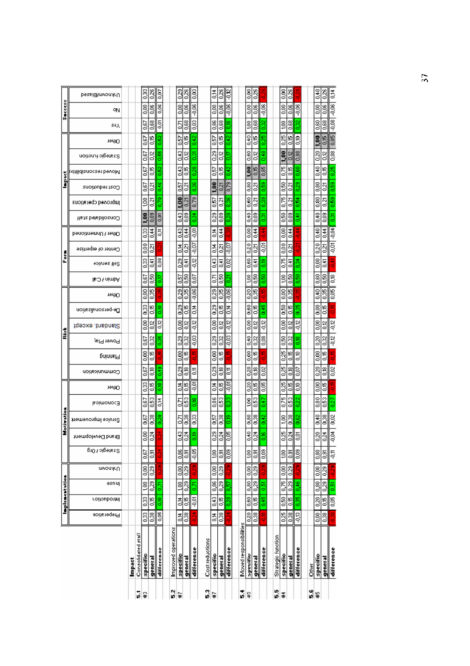|         |                        |                |                 | Implementation           |                   |                 |                   | Motivation          |               |                |               |                         | E                                |                    |                |                     |                | Form                |                     |                          |                     | ă                 |                        |                  |               |                 | <b>Success</b> |                |
|---------|------------------------|----------------|-----------------|--------------------------|-------------------|-----------------|-------------------|---------------------|---------------|----------------|---------------|-------------------------|----------------------------------|--------------------|----------------|---------------------|----------------|---------------------|---------------------|--------------------------|---------------------|-------------------|------------------------|------------------|---------------|-----------------|----------------|----------------|
|         |                        | Preperadou     | Introduction    | əsnuj                    | υνουλευ           | ρισι είρετε     | Brand Development | Service Improvement | lsoimonoc∃    | тей О          | Communication | Jal9 19wo9<br>pninnel R | Standard. except                 | De-personalization | <b>Terior</b>  | <b>Pamin / Call</b> | soiviez ils8   | Center of expertise | Dener / Unmentioned | <b>Heta betabiloanoO</b> | Improved cperations | Cost reductions   | keitilidianocaet bevoM | Stategic fuotion | тейд          | s€y             | οΝ             | UnknownfBiased |
|         | Impact                 |                |                 |                          |                   |                 |                   |                     |               |                |               |                         |                                  |                    |                |                     |                |                     |                     |                          |                     |                   |                        |                  |               |                 |                |                |
| r.      | Consolidated staff     |                |                 |                          |                   |                 |                   |                     |               |                |               |                         |                                  |                    |                |                     |                |                     |                     |                          |                     |                   |                        |                  |               |                 |                |                |
| ¥       | specific               | 33             | $\frac{33}{5}$  | $\frac{1}{2}$            | 80                | 0,67            | 8                 | 0.67                | 0.67          | 8              | 0.67          | $\frac{8}{2}$           | $\frac{8}{2}$<br>$\frac{67}{20}$ | I                  | $\frac{8}{2}$  | 0.67                | $\frac{33}{5}$ | $\frac{8}{200}$     | 0.33                | 1.00                     | Ğ,                  | 0.67              | 0.67                   | š                | 0.67          | 0.67            | $\frac{8}{2}$  | Į              |
|         | general                | $\frac{38}{3}$ | <b>S</b>        | 0.29                     | 23                | 53              | $\frac{34}{2}$    | 83                  | 83            | <b>9.16</b>    | g.            | 0,15                    | $\frac{2}{5}$<br>82              | 5                  | 0,35           | 89                  | 0,41           | ă                   | 14.0                | 0.09                     | 0,21                | ā                 | <b>e</b>               | Οí2              | g<br>S        | 88              | <b>90,0</b>    | 83             |
|         | differenoe             | 0,06           | 0.18            | 5,00                     |                   |                 |                   | 0.29                | š             | $\frac{8}{2}$  | 880           | ă                       | 0,12<br>0.35                     | ete                | 8              | 6,17                | 0,08           |                     | 튱                   | 0,91                     | 0.78                | 8,46              | 0.52                   | 0.55             | 0.52          | ē,              | 0,06           | 0,07           |
| Ñ       | Improved operations    |                |                 |                          |                   |                 |                   |                     |               |                |               |                         |                                  |                    |                |                     |                |                     |                     |                          |                     |                   |                        |                  |               |                 |                |                |
| ¥,      | specific               | Š              | $\frac{4}{5}$   | 1.00                     | 8                 | 880             | I.                | Š                   | δ,            | ă              | 8             | g                       | g<br>8                           | 83                 | 0,29           | 0.57                | 0.29           | t                   | 0,43                | 343                      | 1.00                | S                 | 3                      | 3                | $\frac{5}{2}$ | Š               | $\frac{8}{3}$  | $\frac{23}{5}$ |
|         | general                | 0.38           | 0,15            | 0.29                     | 0,29              | 53              | 0.24              | 8                   | 0,53          | 50             | g<br>S        | 9ء<br>0                 | δg<br>$\frac{32}{2}$             | 50                 | 835            | 8                   | š              | $\overline{2}$      | $\frac{4}{5}$       | g<br>S                   | 0,21                | $\overline{2}$    | 50                     | δg               | 5             | 88              | 80             | $\frac{26}{5}$ |
|         | difference             |                | $\overline{60}$ | 6.71                     | š                 | $-0.05$         | g                 | ြီး                 | 8             | $-0.01$        | ę<br>5        | $-0.03$<br>뛰            | $rac{12}{10}$                    | t<br>0             | $-0.06$        | $\approx$           | $\frac{2}{9}$  | $-0.07$             | ē,                  | 3                        | 0,79                | 0.36              | 0,28                   | ā                | 0.42          | e.co            | $-0,06$        | SO.0           |
| 3       | Cost reductions        |                |                 |                          |                   |                 |                   |                     |               |                |               |                         |                                  |                    |                |                     |                |                     |                     |                          |                     |                   |                        |                  |               |                 |                |                |
| ı.      | specific               | 흥              | 343             | 88.0                     | 8,00              |                 | 83                | Ş                   | 380           | 흥              | 8             | $\frac{8}{2}$           | g<br>83                          | Į                  | 829            | $\overline{0.71}$   | I.             | Š                   | 흥                   | 83                       | ្ញ                  | $\frac{6}{1}$     | Ş                      | 8                | Ş             | 88              | g              | 흥              |
|         | general                | 8              | 5               | 0.29                     | 0,29              | 의회              | $^{24}$           | 8                   | s             | 50             | g<br>S        | le<br>o                 | $\frac{2}{5}$<br>32              | ۱g                 | 35             | S                   | Į              | ā                   | J.                  | g                        | ∣ন<br>ø             | $\overline{0}$    | 50                     | 0,12             | 5             | 88              | ego            | 82,0           |
|         | difference             |                |                 | 5                        |                   | g               | B                 | B                   |               | $-0.01$        | 통             |                         | ă<br>$-0.03$                     | 흥                  | $-0.06$        | ន្ទ                 | es<br>G        | $\frac{1}{2}$       |                     |                          | H                   | $\frac{8}{3}$     |                        |                  | $\frac{2}{3}$ | ៖               | $-0.06$        | ă              |
| r.      | Moved responsibilities |                |                 |                          |                   |                 |                   |                     |               |                |               |                         |                                  |                    |                |                     |                |                     |                     |                          |                     |                   |                        |                  |               |                 |                |                |
| ¥       | specific               | 0.20           | $\frac{1}{2}$   | $\frac{80}{3}$           | 8,00              | Ş.              | ٥¥,               | 88                  | Ş.            | 0,20           | 83            | 8<br>O                  | 8,00<br>840                      | 88                 | 0,20           | Ş.                  | 0,60           | 0.20                | 8,00                | 9,40                     | 0,60                | 8,0               | 1,00                   | 8,60             | ٥ŧ            | Ş.              | 8,00           | 8              |
|         | general                | 0,38           | 0,15            | 0.29                     | 0,29              | 0,91            | 0,24              | 0,38                | ន្ទី          | 0,15           | β,            | ٥e                      | $^{0.2}$<br>0.32                 | 50                 | 83             | 8                   | 동              | ្ទ                  | 총                   | eo.o                     | $\frac{21}{2}$      | $\overline{6}$    | $\frac{15}{20}$        | Ο,12             | 50            | 88              | 8,06           | 0,26           |
|         | difference             | 91<br>P        | 0.45            | 5,6                      | Ş                 | g<br>S          | ge<br>G           | 0,42                | 047           | 80.0           | 0.02          | 95                      | $rac{12}{5}$<br>80.0             | 845                | 95             | 8                   | g<br>S         | Θò                  | きっ                  | 31                       | 88.0                | 880               | 0,85                   | $^{+8}$          | 0.25          | 82              | $-0.06$        |                |
| ٠,      | Strategic function     |                |                 |                          |                   |                 |                   |                     |               |                |               |                         |                                  |                    |                |                     |                |                     |                     |                          |                     |                   |                        |                  |               |                 |                |                |
| #       | specific               | 0,25           | 83              | $\overline{\mathcal{E}}$ | $\frac{8}{2}$     | Ş               | 83                | 1,00                | $\frac{8}{2}$ | 0,25           | 33            | 0,25                    | 8,00<br>8,50                     | 88                 | $\frac{8}{5}$  | Ş                   | $\frac{8}{2}$  | $\frac{8}{3}$       | 3                   | 8                        | 0,75                | š                 | $\frac{8}{2}$          | 1,00             | 0,25          | g               | $\frac{8}{5}$  | g              |
|         | general                | 0.38           | 0.15            | 0.29                     | $\overline{0.23}$ | $\frac{5}{2}$   | 0.24              | 83                  | 83            | $\frac{6}{10}$ | ã             | $\frac{16}{10}$         | $\frac{2}{5}$<br>0.32            | $\frac{16}{2}$     | 0.35           | 0.50                | $\frac{4}{5}$  | <u>្លូវ</u>         | 0.44                | 80                       | 0.21                | $\overline{2}$    | $\frac{16}{10}$        | 0.12             | 5             | 880             | 80             | 0.26           |
|         | difference             | $-0.13$        | 0.35            | $\frac{46}{5}$           |                   | $\frac{8}{5}$   | ē,                | 0.62                | 0.22          | $\frac{6}{5}$  | §             | $\frac{8}{3}$           | $rac{2}{3}$<br>e<br>G            | 0.35               |                | 8                   | ë,             |                     | きっ                  | $\frac{41}{10}$          | 喜                   | 83                | $\frac{8}{9}$          | 0,88             | $\frac{8}{5}$ | 82              | $-0.06$        |                |
| ه.<br>م | ð.<br>Ö                |                |                 |                          |                   |                 |                   |                     |               |                |               |                         |                                  |                    |                |                     |                |                     |                     |                          |                     |                   |                        |                  |               |                 |                |                |
| ¥       | specific               | $\frac{1}{2}$  | 0.20            | 0.80                     | $\frac{8}{2}$     | $\frac{80}{20}$ | 8g                | $\frac{9}{5}$       | 0.80          | 8,00           | 0.20          | $\frac{8}{3}$           | $\frac{8}{5}$<br>0.20            | 8                  | $\frac{9}{20}$ | 0.60                | 0.00           | 0.20                | 0.40                | $\frac{9}{20}$           | 880                 | $\frac{8}{2}$     | $\frac{9}{20}$         | 0.20             | 1,00          | 880             | $\frac{8}{5}$  | <b>S</b>       |
|         | general                | 0,38           | 0,15            | 0,29                     | 820               | $\frac{5}{2}$   | z4                | 8                   | 0.53          | 5              | $\frac{8}{5}$ | 0.15                    | S.<br>0.32                       | 50                 | 880            | $\frac{6}{2}$       | ă              | ğ                   | $^{+1}_{-1}$        | 80.0                     | 0.21                | $\overline{0.21}$ | S.                     | ă                | <b>S</b>      | 880             | $\frac{8}{5}$  | 0,26           |
|         | difference             |                | 0,05            | 0,51                     |                   | 4               | 4                 | 0,02                | 3             |                | $\approx$     | 쁜                       | $-0.12$<br>$-0.12$               | ą                  | $\overline{6}$ | $\frac{8}{5}$       | Ξ              | $-0.01$             | $-0.04$             | ğ                        | g<br>S              | 8                 | 826                    | 8<br>OO          | 0,85          | $\frac{8}{200}$ | $-0,06$        | 흥              |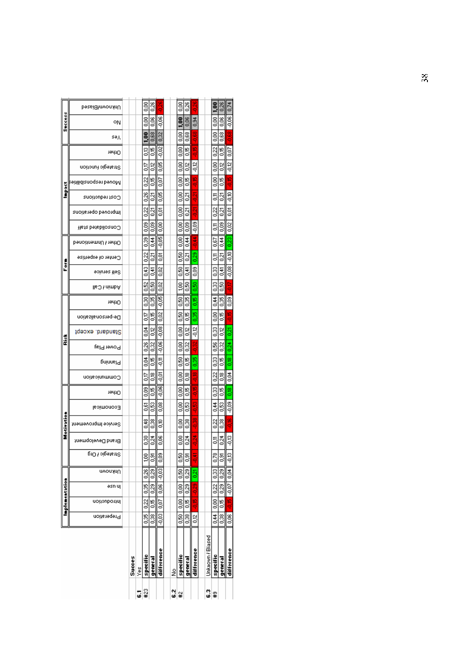|            |                  |                 | Implementation                  |                       |                  |                 |                   | Motivation          |               |                |                |                | å              |                                        |                     |                     |                      | Form                |                     |                           |                     | Ğ               |                         |                    |                |      | Success         |                |
|------------|------------------|-----------------|---------------------------------|-----------------------|------------------|-----------------|-------------------|---------------------|---------------|----------------|----------------|----------------|----------------|----------------------------------------|---------------------|---------------------|----------------------|---------------------|---------------------|---------------------------|---------------------|-----------------|-------------------------|--------------------|----------------|------|-----------------|----------------|
|            |                  | Preperation     | Introduction                    | əsn uj                | nuknown          | Strategic ł Org | Brand Development | Service Improvement | Eoimonoo∃     | тейтО          | Communication  | pninnsl9       | pel9 19wo9     | ∩e-personalization<br>Standard. except | тейтО               | <b>Mdmin / Call</b> | soiviez ile8         | Center of expertise | Dther / Unmentioned | <b>Gonsolidated staff</b> | Improved operations | Cost reductions | bitilidianoqaan beyol Y | Strategic function | тейтО          | sәд  | ٥N              | UnknownfBiased |
|            |                  |                 |                                 |                       |                  |                 |                   |                     |               |                |                |                |                |                                        |                     |                     |                      |                     |                     |                           |                     |                 |                         |                    |                |      |                 |                |
|            | Succes           |                 |                                 |                       |                  |                 |                   |                     |               |                |                |                |                |                                        |                     |                     |                      |                     |                     |                           |                     |                 |                         |                    |                |      |                 |                |
| 뎨          | š                |                 |                                 |                       |                  |                 |                   |                     |               |                |                |                |                |                                        |                     |                     |                      |                     |                     |                           |                     |                 |                         |                    |                |      |                 |                |
| #23        | specific         |                 | 0.35   0.22   0.35              |                       | 0.28             | ğ               | 83                | $\frac{3}{5}$       | š             | g              | 5              | 흥              | 826            | 5<br>3<br>O                            | 83                  | 0.52                | II<br>S              | $\frac{22}{3}$      | 33                  | $\frac{8}{2}$             | 0.22                | 82              | 0.22                    | 5                  | g              | ິຣິ  | 83              | 8              |
|            | general          |                 | $0.38$   $0.15$   $0.29$   0.29 |                       |                  | ē,              | $\frac{34}{2}$    | 83                  | g<br>S        | 5              | g<br>S         | 5              | 0,32           | 5<br>ξ,                                | 3                   | š                   | 0,41                 | ā                   | 35                  | 0.09                      | ā                   | ā               | <b>S</b>                | βŠ                 | 5              | 880  | 8,06            | 82.0           |
|            | difference       |                 | $-0.03$   0.07   0.06   -0.03   |                       |                  | 89<br>O         | 8                 | ŝ                   | $\frac{8}{5}$ | eo<br>P        | 5ç             | 흥              | $^{0.06}$      | 0.02<br>80.O                           | 5<br>So             | $\frac{8}{2}$       | 0,02                 | 5                   | 50C                 | 83                        | š                   | 80<br>00        | $\frac{5}{2}$           | 8                  | $-0.02$        | 0,32 | $-0.06$         |                |
|            |                  |                 |                                 |                       |                  |                 |                   |                     |               |                |                |                |                |                                        |                     |                     |                      |                     |                     |                           |                     |                 |                         |                    |                |      |                 |                |
| 2¦≆        | ž                |                 |                                 |                       |                  |                 |                   |                     |               |                |                |                |                |                                        |                     |                     |                      |                     |                     |                           |                     |                 |                         |                    |                |      |                 |                |
|            | specific         | $\frac{50}{20}$ | $\frac{1}{2}$                   | $\frac{80}{20}$       | 8                | š               | 8                 | 8                   | 8             | 8              | g              | 8,50           | 83             | š<br>8                                 | 8,50                | g                   | š                    | 8,                  | 8                   | g                         | 8                   | 8               | 8                       | ទី                 | g              | g    | 1.00            | g              |
|            | general          | $\frac{38}{2}$  | $\frac{1}{25}$                  | $\frac{23}{5}$        | 0,29             | õ,              | $\frac{34}{5}$    | 88                  | S             | g              | g<br>S         | 5              | $\frac{32}{5}$ | 5<br>βŠ                                | 83                  | នី                  | 동                    | Į                   | ま                   | g                         | ā                   | ā               | g                       | g                  | 5              | š    | 0,06            | 83             |
|            | difference       | $\frac{2}{5}$   | Ę                               | 33                    | ğ                |                 | 3g                | 8<br>ę              | Ş             | $-0.15$        | $\frac{1}{2}$  | 83             |                | 88<br>ă                                | 0.15                | 88                  | 80                   | 0.29                | 等中                  | 0,08                      | ξÓ,                 | ឆ្ន             | 띅<br>ę                  | $-0.12$            | $\frac{16}{2}$ |      | $\frac{3}{25}$  |                |
|            |                  |                 |                                 |                       |                  |                 |                   |                     |               |                |                |                |                |                                        |                     |                     |                      |                     |                     |                           |                     |                 |                         |                    |                |      |                 |                |
| <u>ឌ្ន</u> | Unknown / Biased |                 |                                 |                       |                  |                 |                   |                     |               |                |                |                |                |                                        |                     |                     |                      |                     |                     |                           |                     |                 |                         |                    |                |      |                 |                |
|            | specific         |                 | $0.44 \mid 0.00 \mid$           | $\frac{22}{3}$        | $\frac{0.33}{2}$ | 0,78            | 5                 | $\frac{22}{3}$      | まご            | I              | $\frac{22}{3}$ | $\frac{33}{5}$ | 89             | 3<br>83                                | $\frac{4}{3}$       | 0.33                | 83                   | 틍                   | Sep                 | 5                         | 0.22                | 틍               | 8                       | g                  | 0,22           | 8    | 8               | $\frac{6}{1}$  |
|            | general          |                 | 0.38   0.15                     | $0.29$   0.29         |                  | ā               | 0.24              | 8                   | g             | 5              | g<br>S         | 5              | 82             | 5<br>$\frac{2}{5}$                     | 83                  | នី                  | 동                    | ā                   | 35                  | $\frac{8}{2}$             | ā                   | ā               | g.                      | g                  | ٣,             | š    | $\frac{8}{5}$   | 0,26           |
|            | difference       | $\frac{1}{20}$  |                                 | $-0.15 - 0.07 + 0.04$ |                  | Ş               | 9,13              | φ                   | 80.           | 8 <sub>0</sub> | 흥<br>이         | e<br>G         | $\frac{24}{2}$ | ę<br>6,21                              | $\frac{8}{20}$<br>۴ |                     | $\frac{8}{200}$<br>Þ | 8                   | 0.23                | $\frac{02}{5}$            | š                   | ۹IJ             | Ļ.<br>q                 | $\frac{2}{9}$      | $\frac{5}{2}$  |      | $\frac{8}{200}$ | 0,74           |
|            |                  |                 |                                 |                       |                  |                 |                   |                     |               |                |                |                |                |                                        |                     |                     |                      |                     |                     |                           |                     |                 |                         |                    |                |      |                 |                |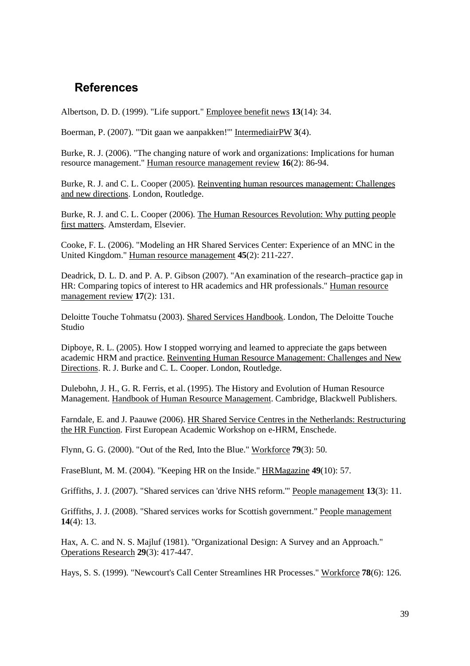# **References**

Albertson, D. D. (1999). "Life support." Employee benefit news **13**(14): 34.

Boerman, P. (2007). "'Dit gaan we aanpakken!'" IntermediairPW **3**(4).

Burke, R. J. (2006). "The changing nature of work and organizations: Implications for human resource management." Human resource management review **16**(2): 86-94.

Burke, R. J. and C. L. Cooper (2005). Reinventing human resources management: Challenges and new directions. London, Routledge.

Burke, R. J. and C. L. Cooper (2006). The Human Resources Revolution: Why putting people first matters. Amsterdam, Elsevier.

Cooke, F. L. (2006). "Modeling an HR Shared Services Center: Experience of an MNC in the United Kingdom." Human resource management **45**(2): 211-227.

Deadrick, D. L. D. and P. A. P. Gibson (2007). "An examination of the research–practice gap in HR: Comparing topics of interest to HR academics and HR professionals." Human resource management review **17**(2): 131.

Deloitte Touche Tohmatsu (2003). Shared Services Handbook. London, The Deloitte Touche Studio

Dipboye, R. L. (2005). How I stopped worrying and learned to appreciate the gaps between academic HRM and practice. Reinventing Human Resource Management: Challenges and New Directions. R. J. Burke and C. L. Cooper. London, Routledge.

Dulebohn, J. H., G. R. Ferris, et al. (1995). The History and Evolution of Human Resource Management. Handbook of Human Resource Management. Cambridge, Blackwell Publishers.

Farndale, E. and J. Paauwe (2006). HR Shared Service Centres in the Netherlands: Restructuring the HR Function. First European Academic Workshop on e-HRM, Enschede.

Flynn, G. G. (2000). "Out of the Red, Into the Blue." Workforce **79**(3): 50.

FraseBlunt, M. M. (2004). "Keeping HR on the Inside." HRMagazine **49**(10): 57.

Griffiths, J. J. (2007). "Shared services can 'drive NHS reform.'" People management **13**(3): 11.

Griffiths, J. J. (2008). "Shared services works for Scottish government." People management **14**(4): 13.

Hax, A. C. and N. S. Majluf (1981). "Organizational Design: A Survey and an Approach." Operations Research **29**(3): 417-447.

Hays, S. S. (1999). "Newcourt's Call Center Streamlines HR Processes." Workforce **78**(6): 126.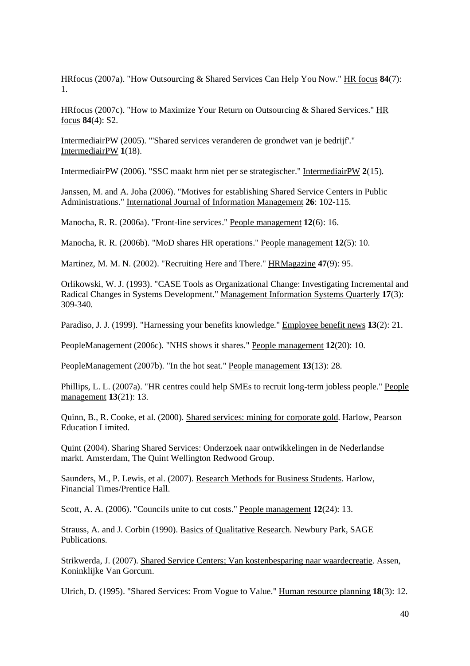HRfocus (2007a). "How Outsourcing & Shared Services Can Help You Now." HR focus **84**(7): 1.

HRfocus (2007c). "How to Maximize Your Return on Outsourcing & Shared Services." HR focus **84**(4): S2.

IntermediairPW (2005). "'Shared services veranderen de grondwet van je bedrijf'." IntermediairPW **1**(18).

IntermediairPW (2006). "SSC maakt hrm niet per se strategischer." IntermediairPW **2**(15).

Janssen, M. and A. Joha (2006). "Motives for establishing Shared Service Centers in Public Administrations." International Journal of Information Management **26**: 102-115.

Manocha, R. R. (2006a). "Front-line services." People management **12**(6): 16.

Manocha, R. R. (2006b). "MoD shares HR operations." People management **12**(5): 10.

Martinez, M. M. N. (2002). "Recruiting Here and There." HRMagazine **47**(9): 95.

Orlikowski, W. J. (1993). "CASE Tools as Organizational Change: Investigating Incremental and Radical Changes in Systems Development." Management Information Systems Quarterly **17**(3): 309-340.

Paradiso, J. J. (1999). "Harnessing your benefits knowledge." Employee benefit news **13**(2): 21.

PeopleManagement (2006c). "NHS shows it shares." People management **12**(20): 10.

PeopleManagement (2007b). "In the hot seat." People management **13**(13): 28.

Phillips, L. L. (2007a). "HR centres could help SMEs to recruit long-term jobless people." People management **13**(21): 13.

Quinn, B., R. Cooke, et al. (2000). Shared services: mining for corporate gold. Harlow, Pearson Education Limited.

Quint (2004). Sharing Shared Services: Onderzoek naar ontwikkelingen in de Nederlandse markt. Amsterdam, The Quint Wellington Redwood Group.

Saunders, M., P. Lewis, et al. (2007). Research Methods for Business Students. Harlow, Financial Times/Prentice Hall.

Scott, A. A. (2006). "Councils unite to cut costs." People management **12**(24): 13.

Strauss, A. and J. Corbin (1990). Basics of Qualitative Research. Newbury Park, SAGE Publications.

Strikwerda, J. (2007). Shared Service Centers; Van kostenbesparing naar waardecreatie. Assen, Koninklijke Van Gorcum.

Ulrich, D. (1995). "Shared Services: From Vogue to Value." Human resource planning **18**(3): 12.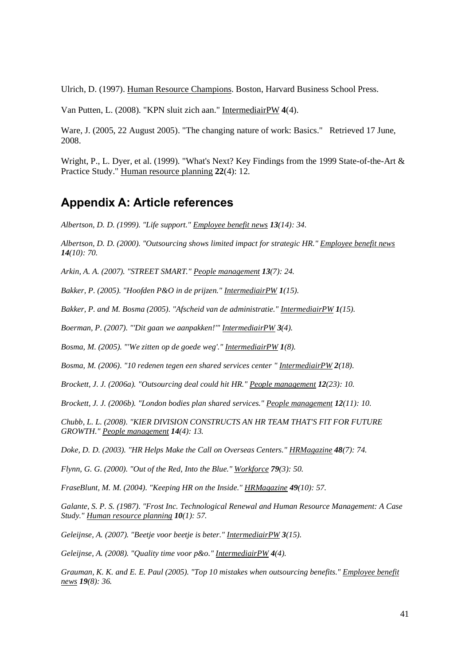Ulrich, D. (1997). Human Resource Champions. Boston, Harvard Business School Press.

Van Putten, L. (2008). "KPN sluit zich aan." IntermediairPW **4**(4).

Ware, J. (2005, 22 August 2005). "The changing nature of work: Basics." Retrieved 17 June, 2008.

Wright, P., L. Dyer, et al. (1999). "What's Next? Key Findings from the 1999 State-of-the-Art & Practice Study." Human resource planning **22**(4): 12.

## **Appendix A: Article references**

*Albertson, D. D. (1999). "Life support." Employee benefit news 13(14): 34.* 

*Albertson, D. D. (2000). "Outsourcing shows limited impact for strategic HR." Employee benefit news 14(10): 70.* 

*Arkin, A. A. (2007). "STREET SMART." People management 13(7): 24.* 

*Bakker, P. (2005). "Hoofden P&O in de prijzen." IntermediairPW 1(15).*

*Bakker, P. and M. Bosma (2005). "Afscheid van de administratie." IntermediairPW 1(15).*

*Boerman, P. (2007). "'Dit gaan we aanpakken!'" IntermediairPW 3(4).*

*Bosma, M. (2005). "'We zitten op de goede weg'." IntermediairPW 1(8).*

*Bosma, M. (2006). "10 redenen tegen een shared services center " IntermediairPW 2(18).*

*Brockett, J. J. (2006a). "Outsourcing deal could hit HR." People management 12(23): 10.* 

*Brockett, J. J. (2006b). "London bodies plan shared services." People management 12(11): 10.* 

*Chubb, L. L. (2008). "KIER DIVISION CONSTRUCTS AN HR TEAM THAT'S FIT FOR FUTURE GROWTH." People management 14(4): 13.* 

*Doke, D. D. (2003). "HR Helps Make the Call on Overseas Centers." HRMagazine 48(7): 74.* 

*Flynn, G. G. (2000). "Out of the Red, Into the Blue." Workforce 79(3): 50.* 

*FraseBlunt, M. M. (2004). "Keeping HR on the Inside." HRMagazine 49(10): 57.* 

*Galante, S. P. S. (1987). "Frost Inc. Technological Renewal and Human Resource Management: A Case Study." Human resource planning 10(1): 57.* 

*Geleijnse, A. (2007). "Beetje voor beetje is beter." IntermediairPW 3(15).*

*Geleijnse, A. (2008). "Quality time voor p&o." IntermediairPW 4(4).*

*Grauman, K. K. and E. E. Paul (2005). "Top 10 mistakes when outsourcing benefits." Employee benefit news 19(8): 36.*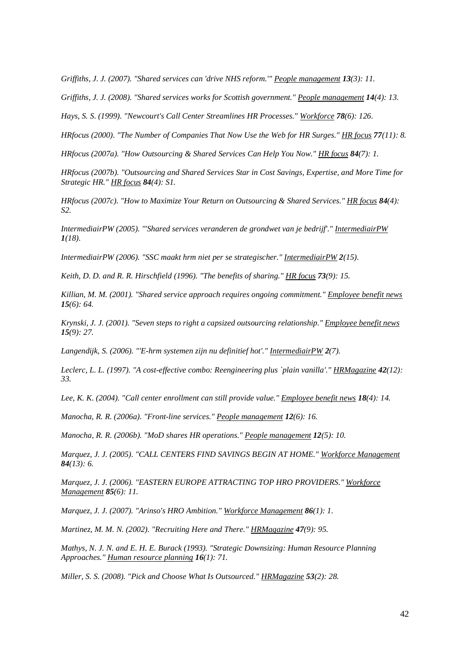*Griffiths, J. J. (2007). "Shared services can 'drive NHS reform.'" People management 13(3): 11.* 

*Griffiths, J. J. (2008). "Shared services works for Scottish government." People management 14(4): 13.* 

*Hays, S. S. (1999). "Newcourt's Call Center Streamlines HR Processes." Workforce 78(6): 126.* 

*HRfocus (2000). "The Number of Companies That Now Use the Web for HR Surges." HR focus 77(11): 8.* 

*HRfocus (2007a). "How Outsourcing & Shared Services Can Help You Now." HR focus 84(7): 1.* 

*HRfocus (2007b). "Outsourcing and Shared Services Star in Cost Savings, Expertise, and More Time for Strategic HR." HR focus 84(4): S1.* 

*HRfocus (2007c). "How to Maximize Your Return on Outsourcing & Shared Services." HR focus 84(4): S2.*

*IntermediairPW (2005). "'Shared services veranderen de grondwet van je bedrijf'." IntermediairPW 1(18).*

*IntermediairPW (2006). "SSC maakt hrm niet per se strategischer." IntermediairPW 2(15).*

*Keith, D. D. and R. R. Hirschfield (1996). "The benefits of sharing." HR focus 73(9): 15.* 

*Killian, M. M. (2001). "Shared service approach requires ongoing commitment." Employee benefit news 15(6): 64.* 

*Krynski, J. J. (2001). "Seven steps to right a capsized outsourcing relationship." Employee benefit news 15(9): 27.* 

*Langendijk, S. (2006). "'E-hrm systemen zijn nu definitief hot'." IntermediairPW 2(7).*

*Leclerc, L. L. (1997). "A cost-effective combo: Reengineering plus `plain vanilla'." HRMagazine 42(12): 33.*

*Lee, K. K. (2004). "Call center enrollment can still provide value." Employee benefit news 18(4): 14.* 

*Manocha, R. R. (2006a). "Front-line services." People management 12(6): 16.* 

*Manocha, R. R. (2006b). "MoD shares HR operations." People management 12(5): 10.* 

*Marquez, J. J. (2005). "CALL CENTERS FIND SAVINGS BEGIN AT HOME." Workforce Management 84(13): 6.* 

*Marquez, J. J. (2006). "EASTERN EUROPE ATTRACTING TOP HRO PROVIDERS." Workforce Management 85(6): 11.* 

*Marquez, J. J. (2007). "Arinso's HRO Ambition." Workforce Management 86(1): 1.* 

*Martinez, M. M. N. (2002). "Recruiting Here and There." HRMagazine 47(9): 95.* 

*Mathys, N. J. N. and E. H. E. Burack (1993). "Strategic Downsizing: Human Resource Planning Approaches." Human resource planning 16(1): 71.* 

*Miller, S. S. (2008). "Pick and Choose What Is Outsourced." HRMagazine 53(2): 28.*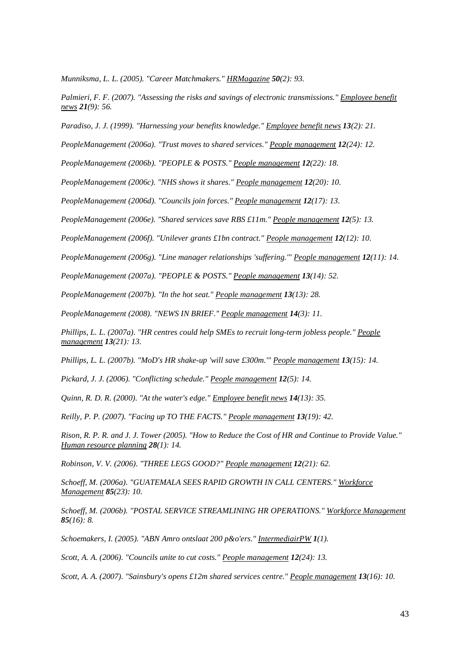*Munniksma, L. L. (2005). "Career Matchmakers." HRMagazine 50(2): 93.* 

*Palmieri, F. F. (2007). "Assessing the risks and savings of electronic transmissions." Employee benefit news 21(9): 56.* 

*Paradiso, J. J. (1999). "Harnessing your benefits knowledge." Employee benefit news 13(2): 21.* 

*PeopleManagement (2006a). "Trust moves to shared services." People management 12(24): 12.* 

*PeopleManagement (2006b). "PEOPLE & POSTS." People management 12(22): 18.* 

*PeopleManagement (2006c). "NHS shows it shares." People management 12(20): 10.* 

*PeopleManagement (2006d). "Councils join forces." People management 12(17): 13.* 

*PeopleManagement (2006e). "Shared services save RBS £11m." People management 12(5): 13.* 

*PeopleManagement (2006f). "Unilever grants £1bn contract." People management 12(12): 10.* 

*PeopleManagement (2006g). "Line manager relationships 'suffering.'" People management 12(11): 14.* 

*PeopleManagement (2007a). "PEOPLE & POSTS." People management 13(14): 52.* 

*PeopleManagement (2007b). "In the hot seat." People management 13(13): 28.* 

*PeopleManagement (2008). "NEWS IN BRIEF." People management 14(3): 11.* 

*Phillips, L. L. (2007a). "HR centres could help SMEs to recruit long-term jobless people." People management 13(21): 13.* 

*Phillips, L. L. (2007b). "MoD's HR shake-up 'will save £300m.'" People management 13(15): 14.* 

*Pickard, J. J. (2006). "Conflicting schedule." People management 12(5): 14.* 

*Quinn, R. D. R. (2000). "At the water's edge." Employee benefit news 14(13): 35.* 

*Reilly, P. P. (2007). "Facing up TO THE FACTS." People management 13(19): 42.* 

Rison, R. P. R. and J. J. Tower (2005). "How to Reduce the Cost of HR and Continue to Provide Value." *Human resource planning 28(1): 14.* 

*Robinson, V. V. (2006). "THREE LEGS GOOD?" People management 12(21): 62.* 

*Schoeff, M. (2006a). "GUATEMALA SEES RAPID GROWTH IN CALL CENTERS." Workforce Management 85(23): 10.* 

*Schoeff, M. (2006b). "POSTAL SERVICE STREAMLINING HR OPERATIONS." Workforce Management 85(16): 8.* 

*Schoemakers, I. (2005). "ABN Amro ontslaat 200 p&o'ers." IntermediairPW 1(1).*

*Scott, A. A. (2006). "Councils unite to cut costs." People management 12(24): 13.* 

*Scott, A. A. (2007). "Sainsbury's opens £12m shared services centre." People management 13(16): 10.*